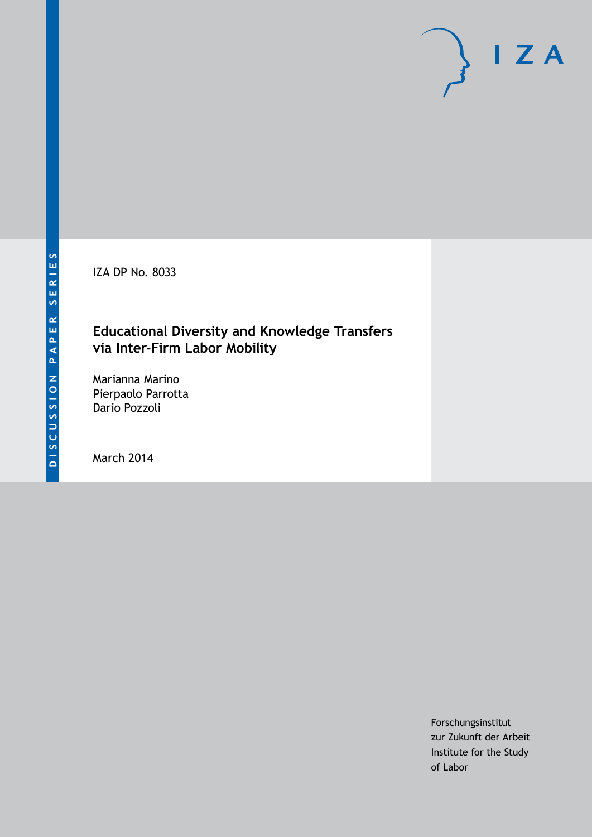IZA DP No. 8033

# **Educational Diversity and Knowledge Transfers via Inter-Firm Labor Mobility**

Marianna Marino Pierpaolo Parrotta Dario Pozzoli

March 2014

Forschungsinstitut zur Zukunft der Arbeit Institute for the Study of Labor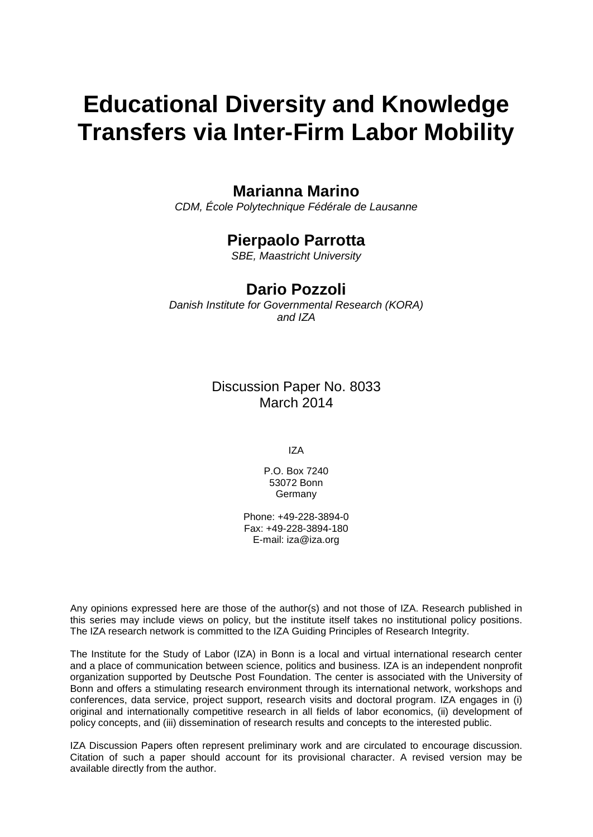# **Educational Diversity and Knowledge Transfers via Inter-Firm Labor Mobility**

# **Marianna Marino**

*CDM, École Polytechnique Fédérale de Lausanne*

# **Pierpaolo Parrotta**

*SBE, Maastricht University*

# **Dario Pozzoli**

*Danish Institute for Governmental Research (KORA) and IZA*

> Discussion Paper No. 8033 March 2014

> > IZA

P.O. Box 7240 53072 Bonn **Germany** 

Phone: +49-228-3894-0 Fax: +49-228-3894-180 E-mail: [iza@iza.org](mailto:iza@iza.org)

Any opinions expressed here are those of the author(s) and not those of IZA. Research published in this series may include views on policy, but the institute itself takes no institutional policy positions. The IZA research network is committed to the IZA Guiding Principles of Research Integrity.

The Institute for the Study of Labor (IZA) in Bonn is a local and virtual international research center and a place of communication between science, politics and business. IZA is an independent nonprofit organization supported by Deutsche Post Foundation. The center is associated with the University of Bonn and offers a stimulating research environment through its international network, workshops and conferences, data service, project support, research visits and doctoral program. IZA engages in (i) original and internationally competitive research in all fields of labor economics, (ii) development of policy concepts, and (iii) dissemination of research results and concepts to the interested public.

<span id="page-1-0"></span>IZA Discussion Papers often represent preliminary work and are circulated to encourage discussion. Citation of such a paper should account for its provisional character. A revised version may be available directly from the author.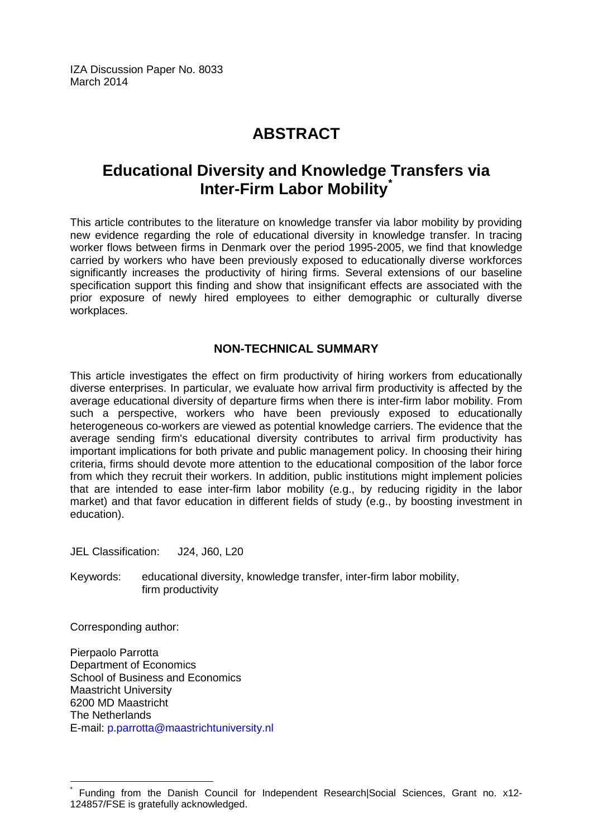IZA Discussion Paper No. 8033 March 2014

# **ABSTRACT**

# **Educational Diversity and Knowledge Transfers via Inter-Firm Labor Mobility[\\*](#page-1-0)**

This article contributes to the literature on knowledge transfer via labor mobility by providing new evidence regarding the role of educational diversity in knowledge transfer. In tracing worker flows between firms in Denmark over the period 1995-2005, we find that knowledge carried by workers who have been previously exposed to educationally diverse workforces significantly increases the productivity of hiring firms. Several extensions of our baseline specification support this finding and show that insignificant effects are associated with the prior exposure of newly hired employees to either demographic or culturally diverse workplaces.

### **NON-TECHNICAL SUMMARY**

This article investigates the effect on firm productivity of hiring workers from educationally diverse enterprises. In particular, we evaluate how arrival firm productivity is affected by the average educational diversity of departure firms when there is inter-firm labor mobility. From such a perspective, workers who have been previously exposed to educationally heterogeneous co-workers are viewed as potential knowledge carriers. The evidence that the average sending firm's educational diversity contributes to arrival firm productivity has important implications for both private and public management policy. In choosing their hiring criteria, firms should devote more attention to the educational composition of the labor force from which they recruit their workers. In addition, public institutions might implement policies that are intended to ease inter-firm labor mobility (e.g., by reducing rigidity in the labor market) and that favor education in different fields of study (e.g., by boosting investment in education).

JEL Classification: J24, J60, L20

Keywords: educational diversity, knowledge transfer, inter-firm labor mobility, firm productivity

Corresponding author:

Pierpaolo Parrotta Department of Economics School of Business and Economics Maastricht University 6200 MD Maastricht The Netherlands E-mail: [p.parrotta@maastrichtuniversity.nl](mailto:p.parrotta@maastrichtuniversity.nl)

Funding from the Danish Council for Independent Research|Social Sciences, Grant no. x12-124857/FSE is gratefully acknowledged.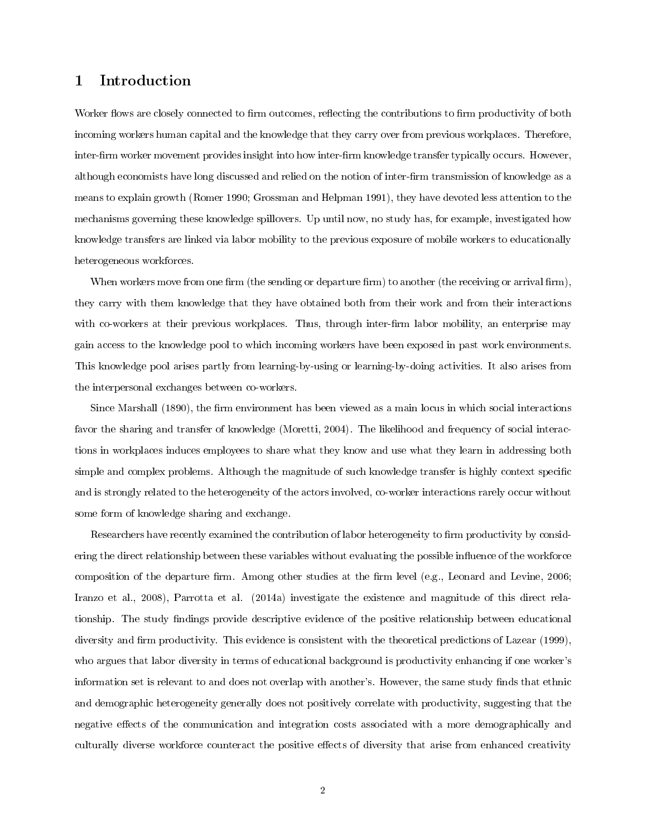### 1 Introduction

Worker flows are closely connected to firm outcomes, reflecting the contributions to firm productivity of both incoming workers human capital and the knowledge that they carry over from previous workplaces. Therefore, inter-firm worker movement provides insight into how inter-firm knowledge transfer typically occurs. However, although economists have long discussed and relied on the notion of inter-firm transmission of knowledge as a means to explain growth (Romer 1990; Grossman and Helpman 1991), they have devoted less attention to the mechanisms governing these knowledge spillovers. Up until now, no study has, for example, investigated how knowledge transfers are linked via labor mobility to the previous exposure of mobile workers to educationally heterogeneous workforces.

When workers move from one firm (the sending or departure firm) to another (the receiving or arrival firm), they carry with them knowledge that they have obtained both from their work and from their interactions with co-workers at their previous workplaces. Thus, through inter-firm labor mobility, an enterprise may gain access to the knowledge pool to which incoming workers have been exposed in past work environments. This knowledge pool arises partly from learning-by-using or learning-by-doing activities. It also arises from the interpersonal exchanges between co-workers.

Since Marshall (1890), the firm environment has been viewed as a main locus in which social interactions favor the sharing and transfer of knowledge (Moretti, 2004). The likelihood and frequency of social interactions in workplaces induces employees to share what they know and use what they learn in addressing both simple and complex problems. Although the magnitude of such knowledge transfer is highly context specific and is strongly related to the heterogeneity of the actors involved, co-worker interactions rarely occur without some form of knowledge sharing and exchange.

Researchers have recently examined the contribution of labor heterogeneity to firm productivity by considering the direct relationship between these variables without evaluating the possible influence of the workforce composition of the departure firm. Among other studies at the firm level (e.g., Leonard and Levine, 2006; Iranzo et al., 2008), Parrotta et al. (2014a) investigate the existence and magnitude of this direct relationship. The study findings provide descriptive evidence of the positive relationship between educational diversity and firm productivity. This evidence is consistent with the theoretical predictions of Lazear (1999), who argues that labor diversity in terms of educational background is productivity enhancing if one worker's information set is relevant to and does not overlap with another's. However, the same study finds that ethnic and demographic heterogeneity generally does not positively correlate with productivity, suggesting that the negative effects of the communication and integration costs associated with a more demographically and culturally diverse workforce counteract the positive effects of diversity that arise from enhanced creativity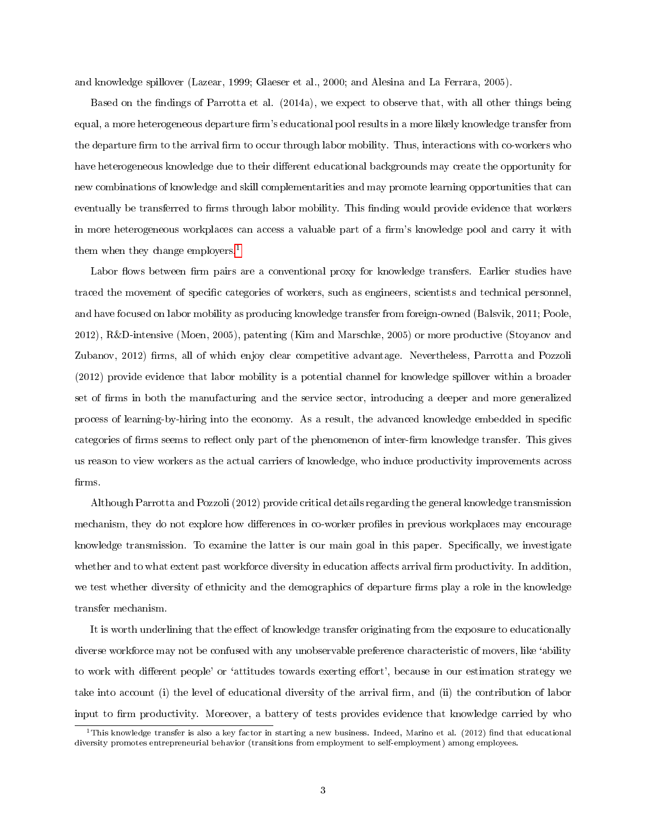and knowledge spillover (Lazear, 1999; Glaeser et al., 2000; and Alesina and La Ferrara, 2005).

Based on the findings of Parrotta et al. (2014a), we expect to observe that, with all other things being equal, a more heterogeneous departure firm's educational pool results in a more likely knowledge transfer from the departure firm to the arrival firm to occur through labor mobility. Thus, interactions with co-workers who have heterogeneous knowledge due to their different educational backgrounds may create the opportunity for new combinations of knowledge and skill complementarities and may promote learning opportunities that can eventually be transferred to firms through labor mobility. This finding would provide evidence that workers in more heterogeneous workplaces can access a valuable part of a firm's knowledge pool and carry it with them when they change employers.<sup>[1](#page-4-0)</sup>

Labor flows between firm pairs are a conventional proxy for knowledge transfers. Earlier studies have traced the movement of specific categories of workers, such as engineers, scientists and technical personnel, and have focused on labor mobility as producing knowledge transfer from foreign-owned (Balsvik, 2011; Poole, 2012), R&D-intensive (Moen, 2005), patenting (Kim and Marschke, 2005) or more productive (Stoyanov and Zubanov, 2012) firms, all of which enjoy clear competitive advantage. Nevertheless, Parrotta and Pozzoli (2012) provide evidence that labor mobility is a potential channel for knowledge spillover within a broader set of firms in both the manufacturing and the service sector, introducing a deeper and more generalized process of learning-by-hiring into the economy. As a result, the advanced knowledge embedded in specific categories of firms seems to reflect only part of the phenomenon of inter-firm knowledge transfer. This gives us reason to view workers as the actual carriers of knowledge, who induce productivity improvements across firms.

Although Parrotta and Pozzoli (2012) provide critical details regarding the general knowledge transmission mechanism, they do not explore how differences in co-worker profiles in previous workplaces may encourage knowledge transmission. To examine the latter is our main goal in this paper. Specifically, we investigate whether and to what extent past workforce diversity in education affects arrival firm productivity. In addition, we test whether diversity of ethnicity and the demographics of departure firms play a role in the knowledge transfer mechanism.

It is worth underlining that the effect of knowledge transfer originating from the exposure to educationally diverse workforce may not be confused with any unobservable preference characteristic of movers, like `ability to work with different people' or 'attitudes towards exerting effort', because in our estimation strategy we take into account (i) the level of educational diversity of the arrival firm, and (ii) the contribution of labor input to firm productivity. Moreover, a battery of tests provides evidence that knowledge carried by who

<span id="page-4-0"></span><sup>&</sup>lt;sup>1</sup>This knowledge transfer is also a key factor in starting a new business. Indeed, Marino et al. (2012) find that educational diversity promotes entrepreneurial behavior (transitions from employment to self-employment) among employees.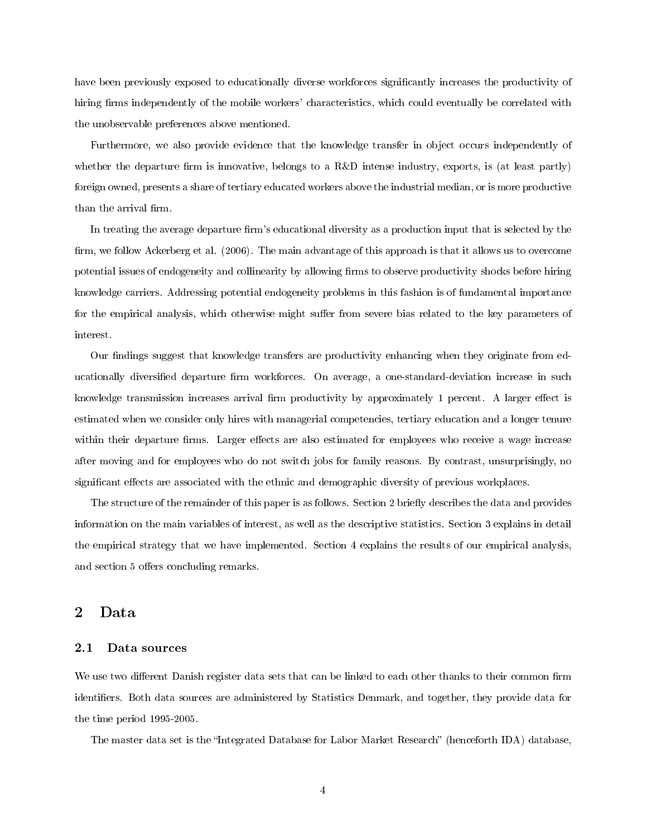have been previously exposed to educationally diverse workforces significantly increases the productivity of hiring firms independently of the mobile workers' characteristics, which could eventually be correlated with the unobservable preferences above mentioned.

Furthermore, we also provide evidence that the knowledge transfer in object occurs independently of whether the departure firm is innovative, belongs to a R&D intense industry, exports, is (at least partly) foreign owned, presents a share of tertiary educated workers above the industrial median, or is more productive than the arrival firm.

In treating the average departure firm's educational diversity as a production input that is selected by the firm, we follow Ackerberg et al. (2006). The main advantage of this approach is that it allows us to overcome potential issues of endogeneity and collinearity by allowing firms to observe productivity shocks before hiring knowledge carriers. Addressing potential endogeneity problems in this fashion is of fundamental importance for the empirical analysis, which otherwise might suffer from severe bias related to the key parameters of interest.

Our findings suggest that knowledge transfers are productivity enhancing when they originate from educationally diversified departure firm workforces. On average, a one-standard-deviation increase in such knowledge transmission increases arrival firm productivity by approximately 1 percent. A larger effect is estimated when we consider only hires with managerial competencies, tertiary education and a longer tenure within their departure firms. Larger effects are also estimated for employees who receive a wage increase after moving and for employees who do not switch jobs for family reasons. By contrast, unsurprisingly, no significant effects are associated with the ethnic and demographic diversity of previous workplaces.

The structure of the remainder of this paper is as follows. Section 2 briefly describes the data and provides information on the main variables of interest, as well as the descriptive statistics. Section 3 explains in detail the empirical strategy that we have implemented. Section 4 explains the results of our empirical analysis, and section 5 offers concluding remarks.

### 2 Data

#### 2.1 Data sources

We use two different Danish register data sets that can be linked to each other thanks to their common firm identifiers. Both data sources are administered by Statistics Denmark, and together, they provide data for the time period 1995-2005.

The master data set is the "Integrated Database for Labor Market Research" (henceforth IDA) database,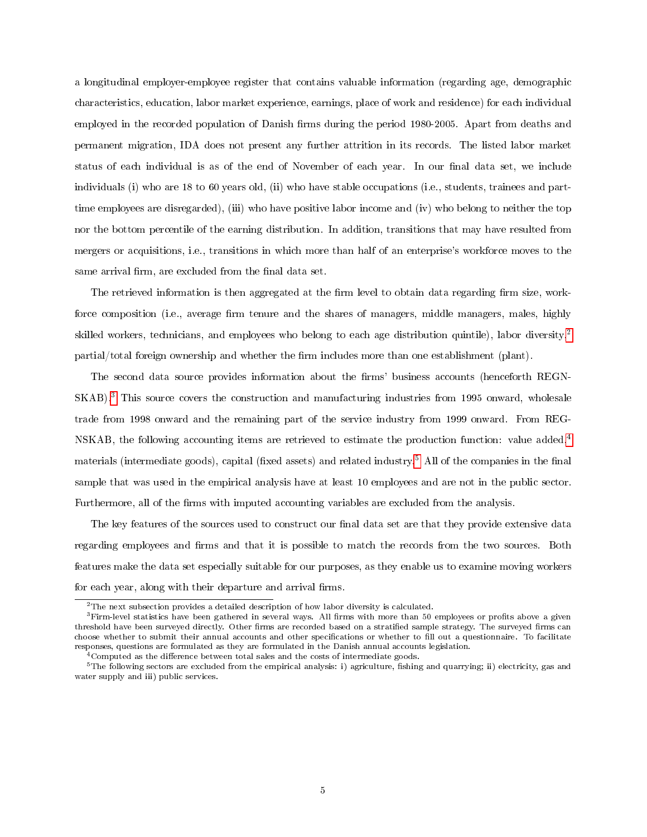a longitudinal employer-employee register that contains valuable information (regarding age, demographic characteristics, education, labor market experience, earnings, place of work and residence) for each individual employed in the recorded population of Danish firms during the period 1980-2005. Apart from deaths and permanent migration, IDA does not present any further attrition in its records. The listed labor market status of each individual is as of the end of November of each year. In our final data set, we include individuals (i) who are 18 to 60 years old, (ii) who have stable occupations (i.e., students, trainees and parttime employees are disregarded), (iii) who have positive labor income and (iv) who belong to neither the top nor the bottom percentile of the earning distribution. In addition, transitions that may have resulted from mergers or acquisitions, i.e., transitions in which more than half of an enterprise's workforce moves to the same arrival firm, are excluded from the final data set.

The retrieved information is then aggregated at the firm level to obtain data regarding firm size, workforce composition (i.e., average firm tenure and the shares of managers, middle managers, males, highly skilled workers, technicians, and employees who belong to each age distribution quintile), labor diversity,[2](#page-6-0) partial/total foreign ownership and whether the firm includes more than one establishment (plant).

The second data source provides information about the firms' business accounts (henceforth REGN-SKAB).<sup>[3](#page-6-1)</sup> This source covers the construction and manufacturing industries from 1995 onward, wholesale trade from 1998 onward and the remaining part of the service industry from 1999 onward. From REG-NSKAB, the following accounting items are retrieved to estimate the production function: value added,[4](#page-6-2) materials (intermediate goods), capital (fixed assets) and related industry.<sup>[5](#page-6-3)</sup> All of the companies in the final sample that was used in the empirical analysis have at least 10 employees and are not in the public sector. Furthermore, all of the firms with imputed accounting variables are excluded from the analysis.

The key features of the sources used to construct our final data set are that they provide extensive data regarding employees and firms and that it is possible to match the records from the two sources. Both features make the data set especially suitable for our purposes, as they enable us to examine moving workers for each year, along with their departure and arrival firms.

<span id="page-6-1"></span><span id="page-6-0"></span><sup>2</sup>The next subsection provides a detailed description of how labor diversity is calculated.

 $3$ Firm-level statistics have been gathered in several ways. All firms with more than 50 employees or profits above a given threshold have been surveyed directly. Other firms are recorded based on a stratified sample strategy. The surveyed firms can choose whether to submit their annual accounts and other specifications or whether to fill out a questionnaire. To facilitate responses, questions are formulated as they are formulated in the Danish annual accounts legislation.

<span id="page-6-3"></span><span id="page-6-2"></span> $4$ Computed as the difference between total sales and the costs of intermediate goods.

 $5$ The following sectors are excluded from the empirical analysis: i) agriculture, fishing and quarrying; ii) electricity, gas and water supply and iii) public services.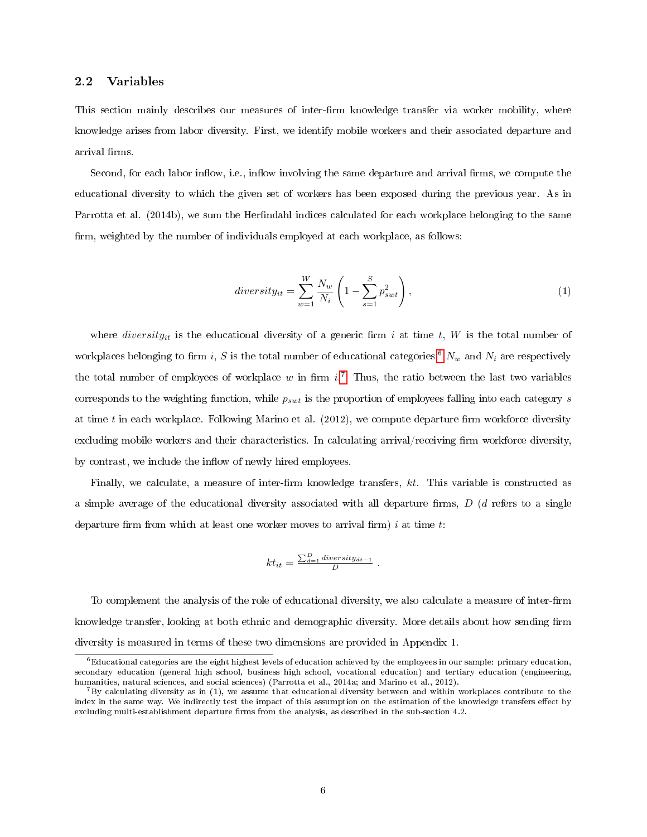#### 2.2 Variables

This section mainly describes our measures of inter-firm knowledge transfer via worker mobility, where knowledge arises from labor diversity. First, we identify mobile workers and their associated departure and arrival firms.

Second, for each labor inflow, i.e., inflow involving the same departure and arrival firms, we compute the educational diversity to which the given set of workers has been exposed during the previous year. As in Parrotta et al. (2014b), we sum the Herfindahl indices calculated for each workplace belonging to the same firm, weighted by the number of individuals employed at each workplace, as follows:

$$
diversity_{it} = \sum_{w=1}^{W} \frac{N_w}{N_i} \left( 1 - \sum_{s=1}^{S} p_{swt}^2 \right),\tag{1}
$$

where diversity<sub>it</sub> is the educational diversity of a generic firm i at time t, W is the total number of workplaces belonging to firm i, S is the total number of educational categories,<sup>[6](#page-7-0)</sup>  $N_w$  and  $N_i$  are respectively the total number of employees of workplace w in firm  $i^7$  $i^7$ . Thus, the ratio between the last two variables corresponds to the weighting function, while  $p_{swt}$  is the proportion of employees falling into each category s at time t in each workplace. Following Marino et al.  $(2012)$ , we compute departure firm workforce diversity excluding mobile workers and their characteristics. In calculating arrival/receiving firm workforce diversity, by contrast, we include the inflow of newly hired employees.

Finally, we calculate, a measure of inter-firm knowledge transfers,  $kt$ . This variable is constructed as a simple average of the educational diversity associated with all departure firms,  $D$  (d refers to a single departure firm from which at least one worker moves to arrival firm) i at time t:

$$
kt_{it} = \frac{\sum_{d=1}^{D}diversity_{dt-1}}{D}.
$$

To complement the analysis of the role of educational diversity, we also calculate a measure of inter-firm knowledge transfer, looking at both ethnic and demographic diversity. More details about how sending firm diversity is measured in terms of these two dimensions are provided in Appendix 1.

<span id="page-7-0"></span> $6$ Educational categories are the eight highest levels of education achieved by the employees in our sample: primary education, secondary education (general high school, business high school, vocational education) and tertiary education (engineering, humanities, natural sciences, and social sciences) (Parrotta et al., 2014a; and Marino et al., 2012).

<span id="page-7-1"></span> $7By$  calculating diversity as in (1), we assume that educational diversity between and within workplaces contribute to the index in the same way. We indirectly test the impact of this assumption on the estimation of the knowledge transfers effect by excluding multi-establishment departure firms from the analysis, as described in the sub-section 4.2.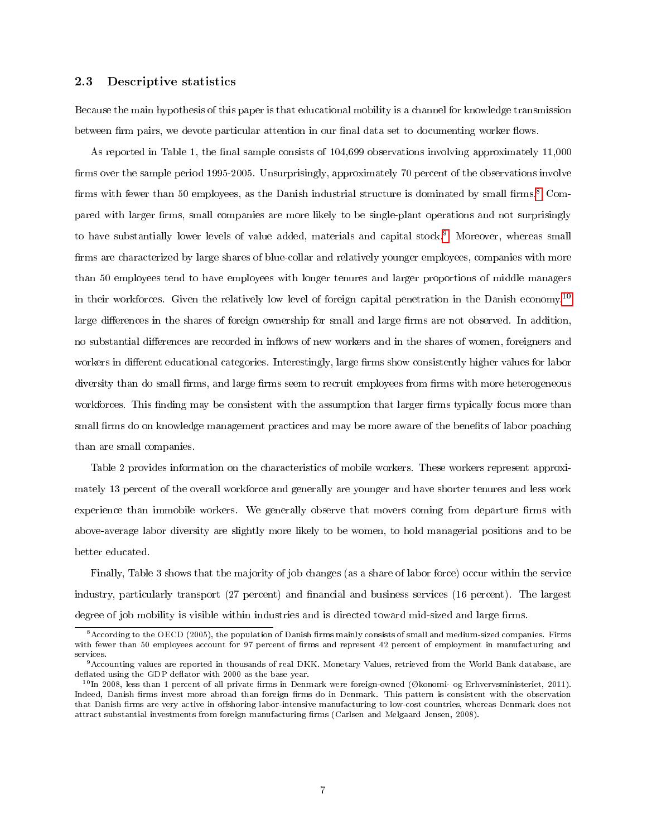#### 2.3 Descriptive statistics

Because the main hypothesis of this paper is that educational mobility is a channel for knowledge transmission between firm pairs, we devote particular attention in our final data set to documenting worker flows.

As reported in Table 1, the final sample consists of  $104,699$  observations involving approximately  $11,000$ firms over the sample period 1995-2005. Unsurprisingly, approximately 70 percent of the observations involve firms with fewer than 50 employees, as the Danish industrial structure is dominated by small firms.<sup>[8](#page-8-0)</sup> Compared with larger firms, small companies are more likely to be single-plant operations and not surprisingly to have substantially lower levels of value added, materials and capital stock.<sup>[9](#page-8-1)</sup> Moreover, whereas small firms are characterized by large shares of blue-collar and relatively younger employees, companies with more than 50 employees tend to have employees with longer tenures and larger proportions of middle managers in their workforces. Given the relatively low level of foreign capital penetration in the Danish economy,<sup>[10](#page-8-2)</sup> large differences in the shares of foreign ownership for small and large firms are not observed. In addition, no substantial differences are recorded in inflows of new workers and in the shares of women, foreigners and workers in different educational categories. Interestingly, large firms show consistently higher values for labor diversity than do small firms, and large firms seem to recruit employees from firms with more heterogeneous workforces. This finding may be consistent with the assumption that larger firms typically focus more than small firms do on knowledge management practices and may be more aware of the benefits of labor poaching than are small companies.

Table 2 provides information on the characteristics of mobile workers. These workers represent approximately 13 percent of the overall workforce and generally are younger and have shorter tenures and less work experience than immobile workers. We generally observe that movers coming from departure firms with above-average labor diversity are slightly more likely to be women, to hold managerial positions and to be better educated.

Finally, Table 3 shows that the majority of job changes (as a share of labor force) occur within the service industry, particularly transport (27 percent) and financial and business services (16 percent). The largest degree of job mobility is visible within industries and is directed toward mid-sized and large firms.

<span id="page-8-0"></span> $8$  According to the OECD (2005), the population of Danish firms mainly consists of small and medium-sized companies. Firms with fewer than 50 employees account for 97 percent of firms and represent 42 percent of employment in manufacturing and services.

<span id="page-8-1"></span><sup>9</sup>Accounting values are reported in thousands of real DKK. Monetary Values, retrieved from the World Bank database, are deflated using the GDP deflator with 2000 as the base year.

<span id="page-8-2"></span> $10\,\text{In}$  2008, less than 1 percent of all private firms in Denmark were foreign-owned (Økonomi- og Erhvervsministeriet, 2011). Indeed, Danish firms invest more abroad than foreign firms do in Denmark. This pattern is consistent with the observation that Danish firms are very active in offshoring labor-intensive manufacturing to low-cost countries, whereas Denmark does not attract substantial investments from foreign manufacturing firms (Carlsen and Melgaard Jensen, 2008).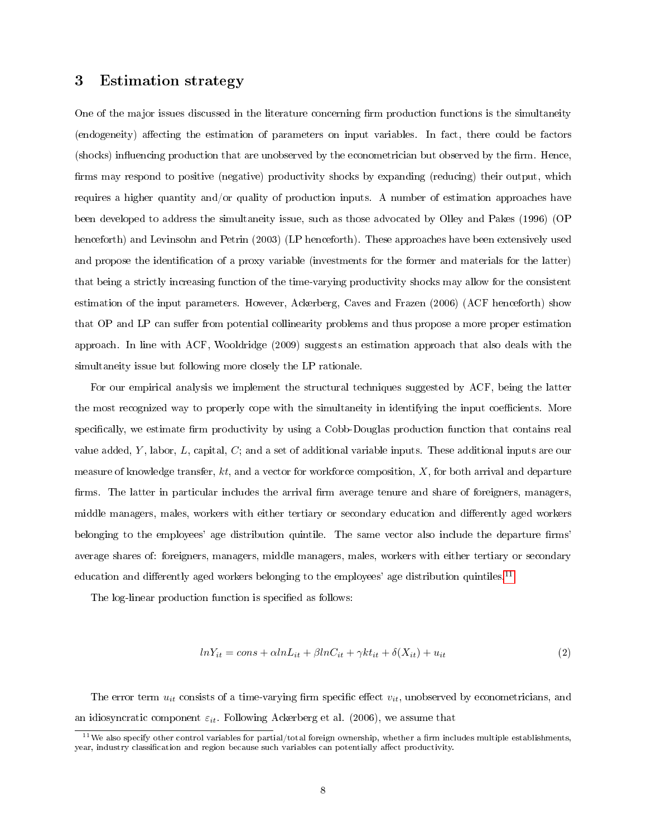### 3 Estimation strategy

One of the major issues discussed in the literature concerning firm production functions is the simultaneity (endogeneity) affecting the estimation of parameters on input variables. In fact, there could be factors (shocks) influencing production that are unobserved by the econometrician but observed by the firm. Hence, firms may respond to positive (negative) productivity shocks by expanding (reducing) their output, which requires a higher quantity and/or quality of production inputs. A number of estimation approaches have been developed to address the simultaneity issue, such as those advocated by Olley and Pakes (1996) (OP henceforth) and Levinsohn and Petrin (2003) (LP henceforth). These approaches have been extensively used and propose the identification of a proxy variable (investments for the former and materials for the latter) that being a strictly increasing function of the time-varying productivity shocks may allow for the consistent estimation of the input parameters. However, Ackerberg, Caves and Frazen (2006) (ACF henceforth) show that OP and LP can suffer from potential collinearity problems and thus propose a more proper estimation approach. In line with ACF, Wooldridge (2009) suggests an estimation approach that also deals with the simultaneity issue but following more closely the LP rationale.

For our empirical analysis we implement the structural techniques suggested by ACF, being the latter the most recognized way to properly cope with the simultaneity in identifying the input coefficients. More specifically, we estimate firm productivity by using a Cobb-Douglas production function that contains real value added,  $Y$ , labor,  $L$ , capital,  $C$ ; and a set of additional variable inputs. These additional inputs are our measure of knowledge transfer,  $kt$ , and a vector for workforce composition,  $X$ , for both arrival and departure firms. The latter in particular includes the arrival firm average tenure and share of foreigners, managers, middle managers, males, workers with either tertiary or secondary education and differently aged workers belonging to the employees' age distribution quintile. The same vector also include the departure firms' average shares of: foreigners, managers, middle managers, males, workers with either tertiary or secondary education and differently aged workers belonging to the employees' age distribution quintiles.<sup>[11](#page-9-0)</sup>

The log-linear production function is specified as follows:

$$
lnY_{it} = cons + \alpha lnL_{it} + \beta lnC_{it} + \gamma kt_{it} + \delta(X_{it}) + u_{it}
$$
\n<sup>(2)</sup>

The error term  $u_{it}$  consists of a time-varying firm specific effect  $v_{it}$ , unobserved by econometricians, and an idiosyncratic component  $\varepsilon_{it}$ . Following Ackerberg et al. (2006), we assume that

<span id="page-9-0"></span><sup>&</sup>lt;sup>11</sup>We also specify other control variables for partial/total foreign ownership, whether a firm includes multiple establishments, year, industry classification and region because such variables can potentially affect productivity.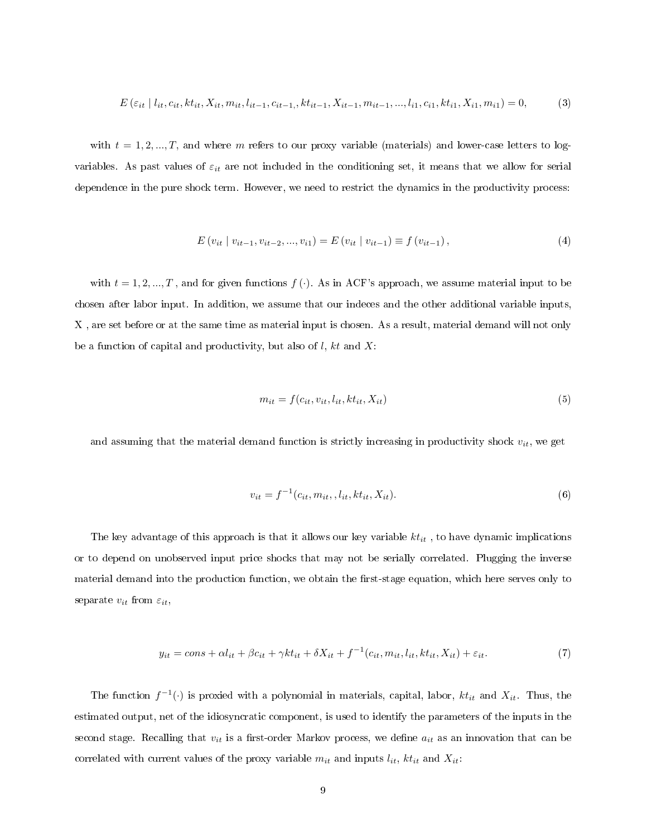$$
E\left(\varepsilon_{it} \mid l_{it}, c_{it}, kt_{it}, X_{it}, m_{it}, l_{it-1}, c_{it-1}, kt_{it-1}, X_{it-1}, m_{it-1}, \dots, l_{i1}, c_{i1}, kt_{i1}, X_{i1}, m_{i1}\right) = 0,\tag{3}
$$

with  $t = 1, 2, ..., T$ , and where m refers to our proxy variable (materials) and lower-case letters to logvariables. As past values of  $\varepsilon_{it}$  are not included in the conditioning set, it means that we allow for serial dependence in the pure shock term. However, we need to restrict the dynamics in the productivity process:

$$
E(v_{it} | v_{it-1}, v_{it-2}, ..., v_{i1}) = E(v_{it} | v_{it-1}) \equiv f(v_{it-1}), \qquad (4)
$$

with  $t = 1, 2, ..., T$ , and for given functions  $f(.)$ . As in ACF's approach, we assume material input to be chosen after labor input. In addition, we assume that our indeces and the other additional variable inputs, X , are set before or at the same time as material input is chosen. As a result, material demand will not only be a function of capital and productivity, but also of  $l$ ,  $kt$  and  $X$ :

$$
m_{it} = f(c_{it}, v_{it}, l_{it}, k t_{it}, X_{it})
$$
\n
$$
(5)
$$

and assuming that the material demand function is strictly increasing in productivity shock  $v_{it}$ , we get

$$
v_{it} = f^{-1}(c_{it}, m_{it}, l_{it}, kt_{it}, X_{it}).
$$
\n(6)

The key advantage of this approach is that it allows our key variable  $kt_{it}$ , to have dynamic implications or to depend on unobserved input price shocks that may not be serially correlated. Plugging the inverse material demand into the production function, we obtain the first-stage equation, which here serves only to separate  $v_{it}$  from  $\varepsilon_{it}$ ,

$$
y_{it} = cons + \alpha l_{it} + \beta c_{it} + \gamma k t_{it} + \delta X_{it} + f^{-1}(c_{it}, m_{it}, l_{it}, kt_{it}, X_{it}) + \varepsilon_{it}.
$$
\n
$$
\tag{7}
$$

The function  $f^{-1}(\cdot)$  is proxied with a polynomial in materials, capital, labor,  $kt_{it}$  and  $X_{it}$ . Thus, the estimated output, net of the idiosyncratic component, is used to identify the parameters of the inputs in the second stage. Recalling that  $v_{it}$  is a first-order Markov process, we define  $a_{it}$  as an innovation that can be correlated with current values of the proxy variable  $m_{it}$  and inputs  $l_{it}$ ,  $kt_{it}$  and  $X_{it}$ :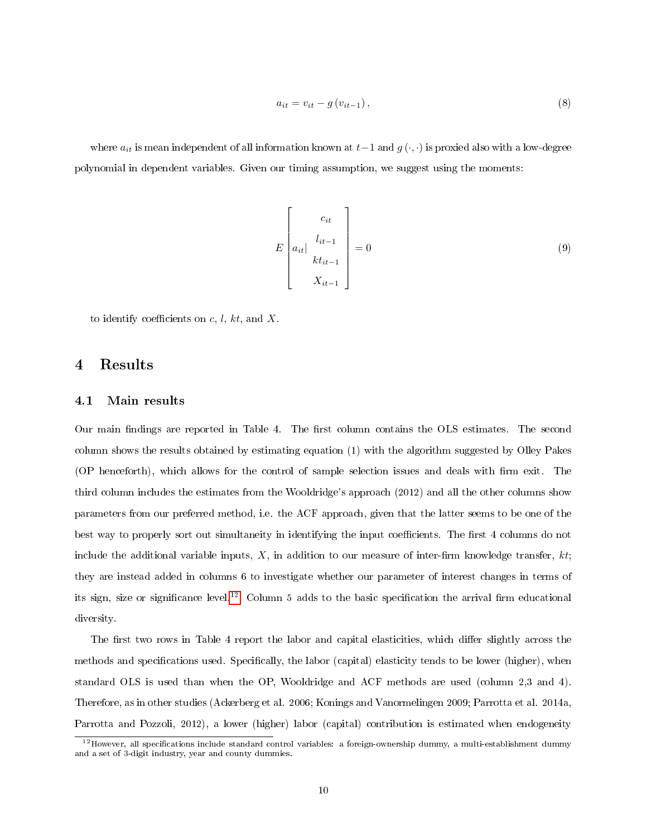$$
a_{it} = v_{it} - g\left(v_{it-1}\right),\tag{8}
$$

where  $a_{it}$  is mean independent of all information known at  $t-1$  and  $g(\cdot, \cdot)$  is proxied also with a low-degree polynomial in dependent variables. Given our timing assumption, we suggest using the moments:

$$
E\begin{bmatrix} c_{it} \\ d_{it} \end{bmatrix} \begin{bmatrix} t_{it-1} \\ k t_{it-1} \\ k t_{it-1} \end{bmatrix} = 0
$$
\n(9)

to identify coefficients on  $c, l, kt$ , and X.

### 4 Results

#### 4.1 Main results

Our main findings are reported in Table 4. The first column contains the OLS estimates. The second column shows the results obtained by estimating equation (1) with the algorithm suggested by Olley Pakes (OP henceforth), which allows for the control of sample selection issues and deals with firm exit. The third column includes the estimates from the Wooldridge's approach (2012) and all the other columns show parameters from our preferred method, i.e. the ACF approach, given that the latter seems to be one of the best way to properly sort out simultaneity in identifying the input coefficients. The first 4 columns do not include the additional variable inputs,  $X$ , in addition to our measure of inter-firm knowledge transfer,  $kt$ ; they are instead added in columns 6 to investigate whether our parameter of interest changes in terms of its sign, size or significance level.<sup>[12](#page-11-0)</sup> Column 5 adds to the basic specification the arrival firm educational diversity.

The first two rows in Table 4 report the labor and capital elasticities, which differ slightly across the methods and specifications used. Specifically, the labor (capital) elasticity tends to be lower (higher), when standard OLS is used than when the OP, Wooldridge and ACF methods are used (column 2,3 and 4). Therefore, as in other studies (Ackerberg et al. 2006; Konings and Vanormelingen 2009; Parrotta et al. 2014a, Parrotta and Pozzoli, 2012), a lower (higher) labor (capital) contribution is estimated when endogeneity

<span id="page-11-0"></span> $12$  However, all specifications include standard control variables: a foreign-ownership dummy, a multi-establishment dummy and a set of 3-digit industry, year and county dummies.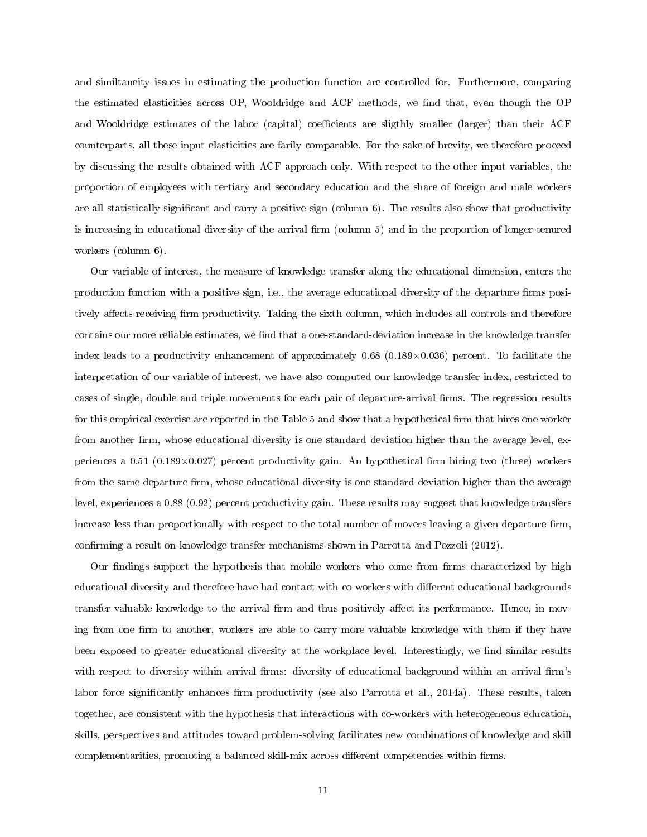and similtaneity issues in estimating the production function are controlled for. Furthermore, comparing the estimated elasticities across OP, Wooldridge and ACF methods, we find that, even though the OP and Wooldridge estimates of the labor (capital) coefficients are sligthly smaller (larger) than their ACF counterparts, all these input elasticities are farily comparable. For the sake of brevity, we therefore proceed by discussing the results obtained with ACF approach only. With respect to the other input variables, the proportion of employees with tertiary and secondary education and the share of foreign and male workers are all statistically significant and carry a positive sign (column 6). The results also show that productivity is increasing in educational diversity of the arrival firm (column 5) and in the proportion of longer-tenured workers (column 6).

Our variable of interest, the measure of knowledge transfer along the educational dimension, enters the production function with a positive sign, i.e., the average educational diversity of the departure firms positively affects receiving firm productivity. Taking the sixth column, which includes all controls and therefore contains our more reliable estimates, we find that a one-standard-deviation increase in the knowledge transfer index leads to a productivity enhancement of approximately 0.68 (0.189×0.036) percent. To facilitate the interpretation of our variable of interest, we have also computed our knowledge transfer index, restricted to cases of single, double and triple movements for each pair of departure-arrival firms. The regression results for this empirical exercise are reported in the Table 5 and show that a hypothetical firm that hires one worker from another firm, whose educational diversity is one standard deviation higher than the average level, experiences a 0.51 (0.189 $\times$ 0.027) percent productivity gain. An hypothetical firm hiring two (three) workers from the same departure firm, whose educational diversity is one standard deviation higher than the average level, experiences a 0.88 (0.92) percent productivity gain. These results may suggest that knowledge transfers increase less than proportionally with respect to the total number of movers leaving a given departure firm, confirming a result on knowledge transfer mechanisms shown in Parrotta and Pozzoli (2012).

Our findings support the hypothesis that mobile workers who come from firms characterized by high educational diversity and therefore have had contact with co-workers with different educational backgrounds transfer valuable knowledge to the arrival firm and thus positively affect its performance. Hence, in moving from one firm to another, workers are able to carry more valuable knowledge with them if they have been exposed to greater educational diversity at the workplace level. Interestingly, we find similar results with respect to diversity within arrival firms: diversity of educational background within an arrival firm's labor force significantly enhances firm productivity (see also Parrotta et al., 2014a). These results, taken together, are consistent with the hypothesis that interactions with co-workers with heterogeneous education, skills, perspectives and attitudes toward problem-solving facilitates new combinations of knowledge and skill complementarities, promoting a balanced skill-mix across different competencies within firms.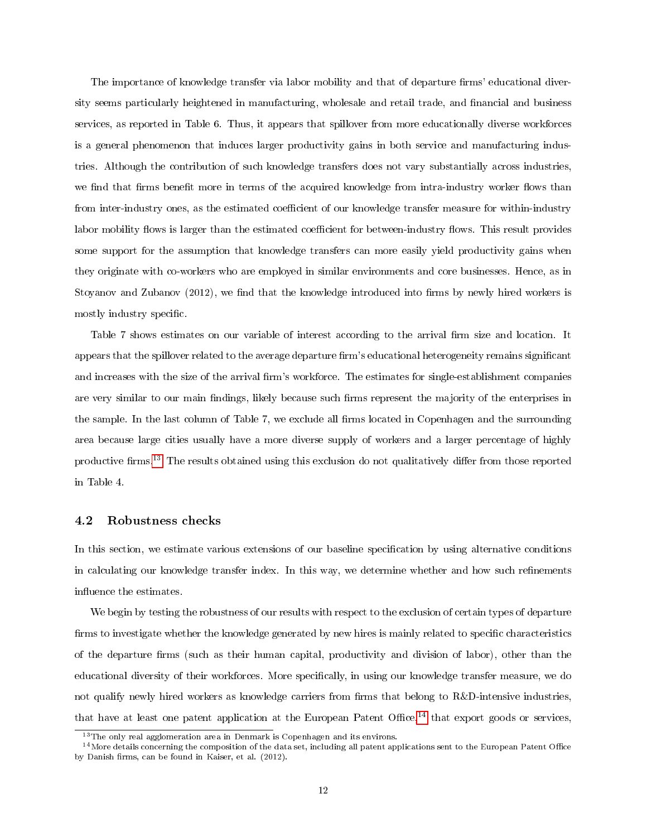The importance of knowledge transfer via labor mobility and that of departure firms' educational diversity seems particularly heightened in manufacturing, wholesale and retail trade, and financial and business services, as reported in Table 6. Thus, it appears that spillover from more educationally diverse workforces is a general phenomenon that induces larger productivity gains in both service and manufacturing industries. Although the contribution of such knowledge transfers does not vary substantially across industries, we find that firms benefit more in terms of the acquired knowledge from intra-industry worker flows than from inter-industry ones, as the estimated coefficient of our knowledge transfer measure for within-industry labor mobility flows is larger than the estimated coefficient for between-industry flows. This result provides some support for the assumption that knowledge transfers can more easily yield productivity gains when they originate with co-workers who are employed in similar environments and core businesses. Hence, as in Stoyanov and Zubanov (2012), we find that the knowledge introduced into firms by newly hired workers is mostly industry specific.

Table 7 shows estimates on our variable of interest according to the arrival firm size and location. It appears that the spillover related to the average departure firm's educational heterogeneity remains significant and increases with the size of the arrival firm's workforce. The estimates for single-establishment companies are very similar to our main findings, likely because such firms represent the majority of the enterprises in the sample. In the last column of Table 7, we exclude all firms located in Copenhagen and the surrounding area because large cities usually have a more diverse supply of workers and a larger percentage of highly productive firms.<sup>[13](#page-13-0)</sup> The results obtained using this exclusion do not qualitatively differ from those reported in Table 4.

#### 4.2 Robustness checks

In this section, we estimate various extensions of our baseline specification by using alternative conditions in calculating our knowledge transfer index. In this way, we determine whether and how such refinements influence the estimates.

We begin by testing the robustness of our results with respect to the exclusion of certain types of departure firms to investigate whether the knowledge generated by new hires is mainly related to specific characteristics of the departure rms (such as their human capital, productivity and division of labor), other than the educational diversity of their workforces. More specifically, in using our knowledge transfer measure, we do not qualify newly hired workers as knowledge carriers from firms that belong to  $R&D$ -intensive industries, that have at least one patent application at the European Patent Office,  $14$  that export goods or services,

<span id="page-13-1"></span><span id="page-13-0"></span> $13$ The only real agglomeration area in Denmark is Copenhagen and its environs.

<sup>&</sup>lt;sup>14</sup>More details concerning the composition of the data set, including all patent applications sent to the European Patent Office by Danish firms, can be found in Kaiser, et al. (2012).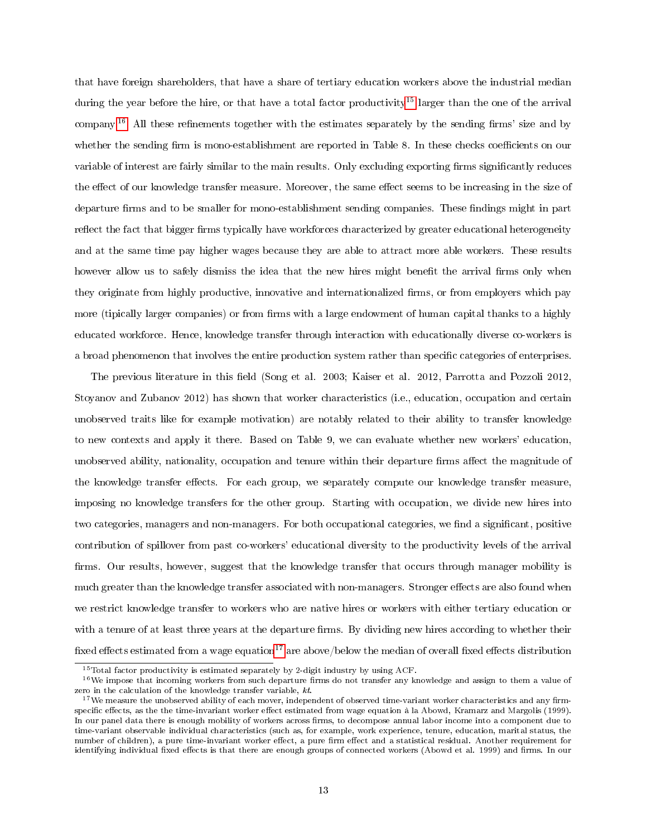that have foreign shareholders, that have a share of tertiary education workers above the industrial median during the year before the hire, or that have a total factor productivity<sup>[15](#page-14-0)</sup> larger than the one of the arrival company.<sup>[16](#page-14-1)</sup> All these refinements together with the estimates separately by the sending firms' size and by whether the sending firm is mono-establishment are reported in Table 8. In these checks coefficients on our variable of interest are fairly similar to the main results. Only excluding exporting firms significantly reduces the effect of our knowledge transfer measure. Moreover, the same effect seems to be increasing in the size of departure firms and to be smaller for mono-establishment sending companies. These findings might in part reflect the fact that bigger firms typically have workforces characterized by greater educational heterogeneity and at the same time pay higher wages because they are able to attract more able workers. These results however allow us to safely dismiss the idea that the new hires might benefit the arrival firms only when they originate from highly productive, innovative and internationalized firms, or from employers which pay more (tipically larger companies) or from firms with a large endowment of human capital thanks to a highly educated workforce. Hence, knowledge transfer through interaction with educationally diverse co-workers is a broad phenomenon that involves the entire production system rather than specific categories of enterprises.

The previous literature in this field (Song et al. 2003; Kaiser et al. 2012, Parrotta and Pozzoli 2012, Stoyanov and Zubanov 2012) has shown that worker characteristics (i.e., education, occupation and certain unobserved traits like for example motivation) are notably related to their ability to transfer knowledge to new contexts and apply it there. Based on Table 9, we can evaluate whether new workers' education, unobserved ability, nationality, occupation and tenure within their departure firms affect the magnitude of the knowledge transfer effects. For each group, we separately compute our knowledge transfer measure, imposing no knowledge transfers for the other group. Starting with occupation, we divide new hires into two categories, managers and non-managers. For both occupational categories, we find a significant, positive contribution of spillover from past co-workers' educational diversity to the productivity levels of the arrival firms. Our results, however, suggest that the knowledge transfer that occurs through manager mobility is much greater than the knowledge transfer associated with non-managers. Stronger effects are also found when we restrict knowledge transfer to workers who are native hires or workers with either tertiary education or with a tenure of at least three years at the departure firms. By dividing new hires according to whether their fixed effects estimated from a wage equation<sup>[17](#page-14-2)</sup> are above/below the median of overall fixed effects distribution

<span id="page-14-1"></span><span id="page-14-0"></span><sup>15</sup>Total factor productivity is estimated separately by 2-digit industry by using ACF.

<sup>&</sup>lt;sup>16</sup>We impose that incoming workers from such departure firms do not transfer any knowledge and assign to them a value of zero in the calculation of the knowledge transfer variable, kt.

<span id="page-14-2"></span> $17$ We measure the unobserved ability of each mover, independent of observed time-variant worker characteristics and any firmspecific effects, as the the time-invariant worker effect estimated from wage equation à la Abowd, Kramarz and Margolis (1999). In our panel data there is enough mobility of workers across firms, to decompose annual labor income into a component due to time-variant observable individual characteristics (such as, for example, work experience, tenure, education, marital status, the number of children), a pure time-invariant worker effect, a pure firm effect and a statistical residual. Another requirement for identifying individual fixed effects is that there are enough groups of connected workers (Abowd et al. 1999) and firms. In our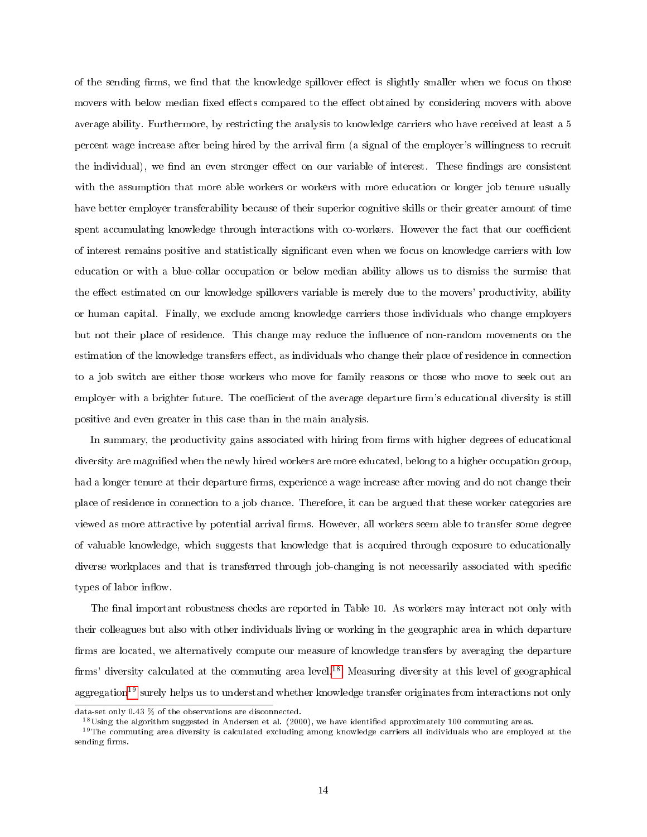of the sending firms, we find that the knowledge spillover effect is slightly smaller when we focus on those movers with below median fixed effects compared to the effect obtained by considering movers with above average ability. Furthermore, by restricting the analysis to knowledge carriers who have received at least a 5 percent wage increase after being hired by the arrival firm (a signal of the employer's willingness to recruit the individual), we find an even stronger effect on our variable of interest. These findings are consistent with the assumption that more able workers or workers with more education or longer job tenure usually have better employer transferability because of their superior cognitive skills or their greater amount of time spent accumulating knowledge through interactions with co-workers. However the fact that our coefficient of interest remains positive and statistically signicant even when we focus on knowledge carriers with low education or with a blue-collar occupation or below median ability allows us to dismiss the surmise that the effect estimated on our knowledge spillovers variable is merely due to the movers' productivity, ability or human capital. Finally, we exclude among knowledge carriers those individuals who change employers but not their place of residence. This change may reduce the influence of non-random movements on the estimation of the knowledge transfers effect, as individuals who change their place of residence in connection to a job switch are either those workers who move for family reasons or those who move to seek out an employer with a brighter future. The coefficient of the average departure firm's educational diversity is still positive and even greater in this case than in the main analysis.

In summary, the productivity gains associated with hiring from firms with higher degrees of educational diversity are magnified when the newly hired workers are more educated, belong to a higher occupation group, had a longer tenure at their departure firms, experience a wage increase after moving and do not change their place of residence in connection to a job chance. Therefore, it can be argued that these worker categories are viewed as more attractive by potential arrival firms. However, all workers seem able to transfer some degree of valuable knowledge, which suggests that knowledge that is acquired through exposure to educationally diverse workplaces and that is transferred through job-changing is not necessarily associated with specific types of labor inflow.

The final important robustness checks are reported in Table 10. As workers may interact not only with their colleagues but also with other individuals living or working in the geographic area in which departure firms are located, we alternatively compute our measure of knowledge transfers by averaging the departure firms' diversity calculated at the commuting area level.<sup>[18](#page-15-0)</sup> Measuring diversity at this level of geographical aggregation<sup>[19](#page-15-1)</sup> surely helps us to understand whether knowledge transfer originates from interactions not only

data-set only 0.43 % of the observations are disconnected.

<span id="page-15-1"></span><span id="page-15-0"></span> $18$ Using the algorithm suggested in Andersen et al. (2000), we have identified approximately 100 commuting areas.

<sup>&</sup>lt;sup>19</sup>The commuting area diversity is calculated excluding among knowledge carriers all individuals who are employed at the sending firms.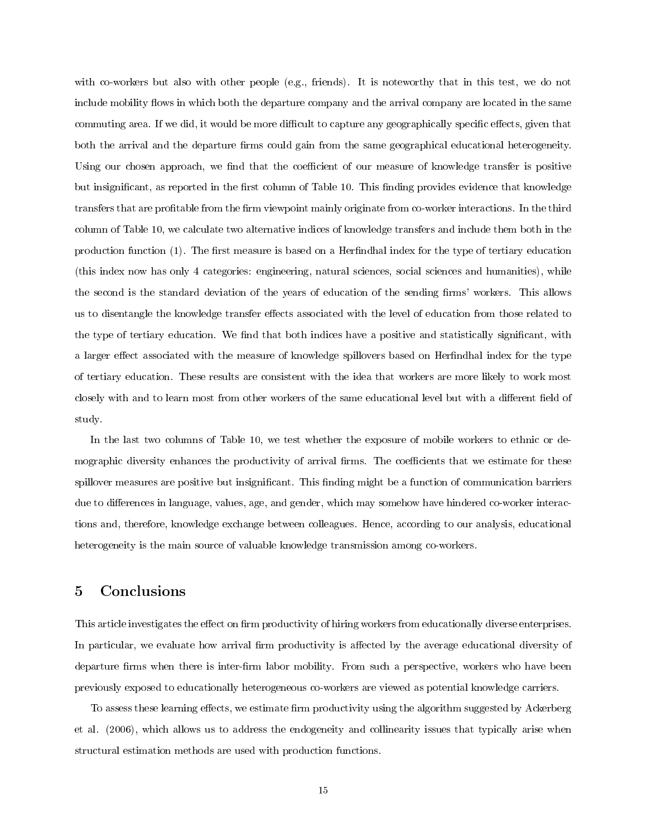with co-workers but also with other people (e.g., friends). It is noteworthy that in this test, we do not include mobility flows in which both the departure company and the arrival company are located in the same commuting area. If we did, it would be more difficult to capture any geographically specific effects, given that both the arrival and the departure firms could gain from the same geographical educational heterogeneity. Using our chosen approach, we find that the coefficient of our measure of knowledge transfer is positive but insignificant, as reported in the first column of Table 10. This finding provides evidence that knowledge transfers that are profitable from the firm viewpoint mainly originate from co-worker interactions. In the third column of Table 10, we calculate two alternative indices of knowledge transfers and include them both in the production function (1). The first measure is based on a Herfindhal index for the type of tertiary education (this index now has only 4 categories: engineering, natural sciences, social sciences and humanities), while the second is the standard deviation of the years of education of the sending firms' workers. This allows us to disentangle the knowledge transfer effects associated with the level of education from those related to the type of tertiary education. We find that both indices have a positive and statistically significant, with a larger effect associated with the measure of knowledge spillovers based on Herfindhal index for the type of tertiary education. These results are consistent with the idea that workers are more likely to work most closely with and to learn most from other workers of the same educational level but with a different field of study.

In the last two columns of Table 10, we test whether the exposure of mobile workers to ethnic or demographic diversity enhances the productivity of arrival firms. The coefficients that we estimate for these spillover measures are positive but insignificant. This finding might be a function of communication barriers due to differences in language, values, age, and gender, which may somehow have hindered co-worker interactions and, therefore, knowledge exchange between colleagues. Hence, according to our analysis, educational heterogeneity is the main source of valuable knowledge transmission among co-workers.

### 5 Conclusions

This article investigates the effect on firm productivity of hiring workers from educationally diverse enterprises. In particular, we evaluate how arrival firm productivity is affected by the average educational diversity of departure firms when there is inter-firm labor mobility. From such a perspective, workers who have been previously exposed to educationally heterogeneous co-workers are viewed as potential knowledge carriers.

To assess these learning effects, we estimate firm productivity using the algorithm suggested by Ackerberg et al. (2006), which allows us to address the endogeneity and collinearity issues that typically arise when structural estimation methods are used with production functions.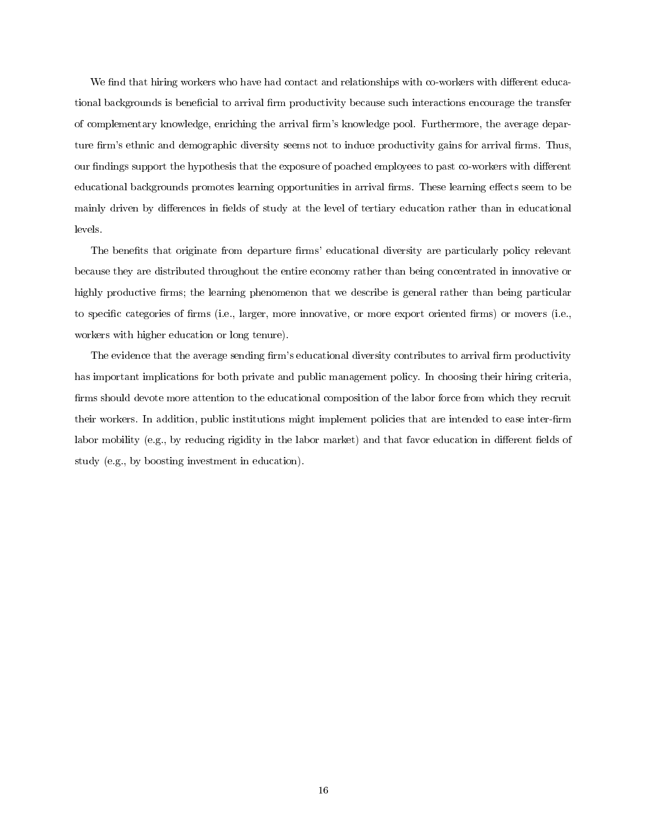We find that hiring workers who have had contact and relationships with co-workers with different educational backgrounds is beneficial to arrival firm productivity because such interactions encourage the transfer of complementary knowledge, enriching the arrival firm's knowledge pool. Furthermore, the average departure firm's ethnic and demographic diversity seems not to induce productivity gains for arrival firms. Thus, our findings support the hypothesis that the exposure of poached employees to past co-workers with different educational backgrounds promotes learning opportunities in arrival firms. These learning effects seem to be mainly driven by differences in fields of study at the level of tertiary education rather than in educational levels.

The benefits that originate from departure firms' educational diversity are particularly policy relevant because they are distributed throughout the entire economy rather than being concentrated in innovative or highly productive firms; the learning phenomenon that we describe is general rather than being particular to specific categories of firms (i.e., larger, more innovative, or more export oriented firms) or movers (i.e., workers with higher education or long tenure).

The evidence that the average sending firm's educational diversity contributes to arrival firm productivity has important implications for both private and public management policy. In choosing their hiring criteria, firms should devote more attention to the educational composition of the labor force from which they recruit their workers. In addition, public institutions might implement policies that are intended to ease inter-firm labor mobility (e.g., by reducing rigidity in the labor market) and that favor education in different fields of study (e.g., by boosting investment in education).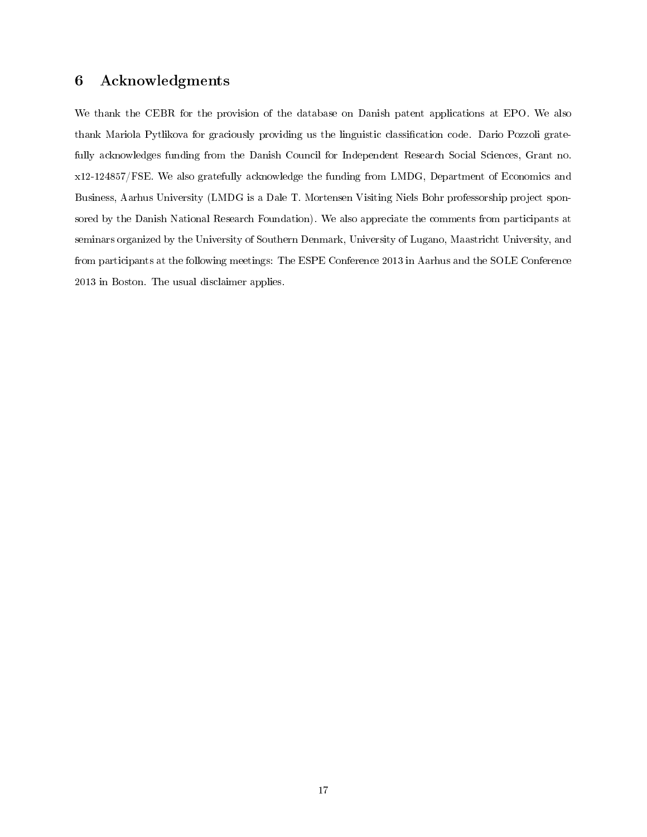## 6 Acknowledgments

We thank the CEBR for the provision of the database on Danish patent applications at EPO. We also thank Mariola Pytlikova for graciously providing us the linguistic classication code. Dario Pozzoli gratefully acknowledges funding from the Danish Council for Independent Research Social Sciences, Grant no. x12-124857/FSE. We also gratefully acknowledge the funding from LMDG, Department of Economics and Business, Aarhus University (LMDG is a Dale T. Mortensen Visiting Niels Bohr professorship project sponsored by the Danish National Research Foundation). We also appreciate the comments from participants at seminars organized by the University of Southern Denmark, University of Lugano, Maastricht University, and from participants at the following meetings: The ESPE Conference 2013 in Aarhus and the SOLE Conference 2013 in Boston. The usual disclaimer applies.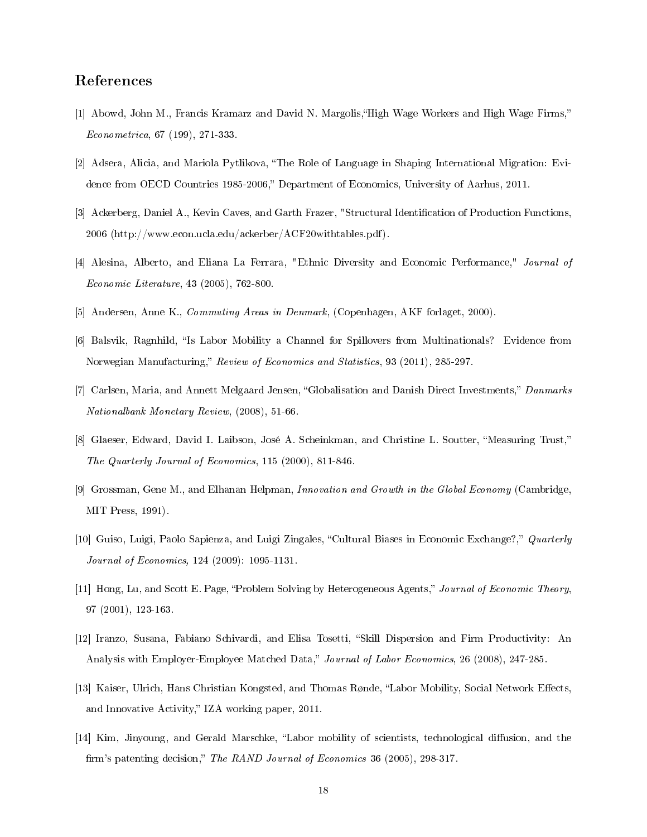# References

- [1] Abowd, John M., Francis Kramarz and David N. Margolis, High Wage Workers and High Wage Firms," Econometrica, 67 (199), 271-333.
- [2] Adsera, Alicia, and Mariola Pytlikova, The Role of Language in Shaping International Migration: Evidence from OECD Countries 1985-2006," Department of Economics, University of Aarhus, 2011.
- [3] Ackerberg, Daniel A., Kevin Caves, and Garth Frazer, "Structural Identification of Production Functions, 2006 (http://www.econ.ucla.edu/ackerber/ACF20withtables.pdf).
- [4] Alesina, Alberto, and Eliana La Ferrara, "Ethnic Diversity and Economic Performance," Journal of Economic Literature, 43 (2005), 762-800.
- [5] Andersen, Anne K., Commuting Areas in Denmark, (Copenhagen, AKF forlaget, 2000).
- [6] Balsvik, Ragnhild, Is Labor Mobility a Channel for Spillovers from Multinationals? Evidence from Norwegian Manufacturing," Review of Economics and Statistics, 93 (2011), 285-297.
- [7] Carlsen, Maria, and Annett Melgaard Jensen, "Globalisation and Danish Direct Investments," Danmarks Nationalbank Monetary Review, (2008), 51-66.
- [8] Glaeser, Edward, David I. Laibson, José A. Scheinkman, and Christine L. Soutter, "Measuring Trust," The Quarterly Journal of Economics, 115 (2000), 811-846.
- [9] Grossman, Gene M., and Elhanan Helpman, Innovation and Growth in the Global Economy (Cambridge, MIT Press, 1991).
- [10] Guiso, Luigi, Paolo Sapienza, and Luigi Zingales, "Cultural Biases in Economic Exchange?," Quarterly Journal of Economics, 124 (2009): 1095-1131.
- [11] Hong, Lu, and Scott E. Page, "Problem Solving by Heterogeneous Agents," Journal of Economic Theory, 97 (2001), 123-163.
- [12] Iranzo, Susana, Fabiano Schivardi, and Elisa Tosetti, "Skill Dispersion and Firm Productivity: An Analysis with Employer-Employee Matched Data," Journal of Labor Economics, 26 (2008), 247-285.
- [13] Kaiser, Ulrich, Hans Christian Kongsted, and Thomas Rønde, "Labor Mobility, Social Network Effects, and Innovative Activity," IZA working paper, 2011.
- [14] Kim, Jinyoung, and Gerald Marschke, "Labor mobility of scientists, technological diffusion, and the firm's patenting decision," The RAND Journal of Economics 36 (2005), 298-317.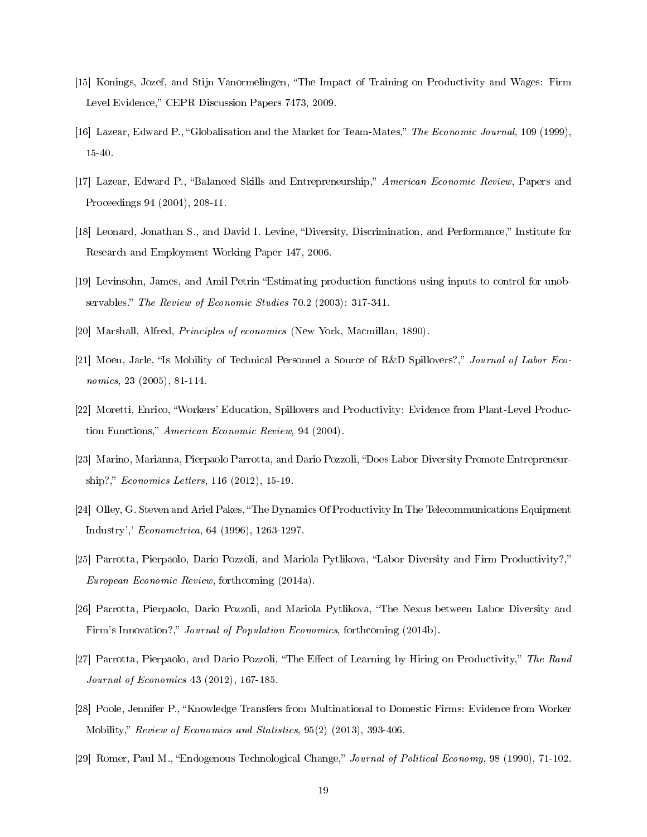- [15] Konings, Jozef, and Stijn Vanormelingen, "The Impact of Training on Productivity and Wages: Firm Level Evidence," CEPR Discussion Papers 7473, 2009.
- [16] Lazear, Edward P., "Globalisation and the Market for Team-Mates," The Economic Journal, 109 (1999), 15-40.
- [17] Lazear, Edward P., "Balanced Skills and Entrepreneurship," American Economic Review, Papers and Proceedings 94 (2004), 208-11.
- [18] Leonard, Jonathan S., and David I. Levine, "Diversity, Discrimination, and Performance," Institute for Research and Employment Working Paper 147, 2006.
- [19] Levinsohn, James, and Amil Petrin Estimating production functions using inputs to control for unobservables." The Review of Economic Studies 70.2 (2003): 317-341.
- [20] Marshall, Alfred, *Principles of economics* (New York, Macmillan, 1890).
- [21] Moen, Jarle, "Is Mobility of Technical Personnel a Source of R&D Spillovers?," Journal of Labor Economics, 23 (2005), 81-114.
- [22] Moretti, Enrico, Workers' Education, Spillovers and Productivity: Evidence from Plant-Level Production Functions," American Economic Review, 94 (2004).
- [23] Marino, Marianna, Pierpaolo Parrotta, and Dario Pozzoli, "Does Labor Diversity Promote Entrepreneurship?," Economics Letters, 116 (2012), 15-19.
- [24] Olley, G. Steven and Ariel Pakes, "The Dynamics Of Productivity In The Telecommunications Equipment Industry',' Econometrica, 64 (1996), 1263-1297.
- [25] Parrotta, Pierpaolo, Dario Pozzoli, and Mariola Pytlikova, "Labor Diversity and Firm Productivity?," European Economic Review, forthcoming (2014a).
- [26] Parrotta, Pierpaolo, Dario Pozzoli, and Mariola Pytlikova, The Nexus between Labor Diversity and Firm's Innovation?," *Journal of Population Economics*, forthcoming (2014b).
- [27] Parrotta, Pierpaolo, and Dario Pozzoli, "The Effect of Learning by Hiring on Productivity," The Rand Journal of Economics 43 (2012), 167-185.
- [28] Poole, Jennifer P., Knowledge Transfers from Multinational to Domestic Firms: Evidence from Worker Mobility," Review of Economics and Statistics,  $95(2)$   $(2013)$ ,  $393-406$ .
- [29] Romer, Paul M., "Endogenous Technological Change," Journal of Political Economy, 98 (1990), 71-102.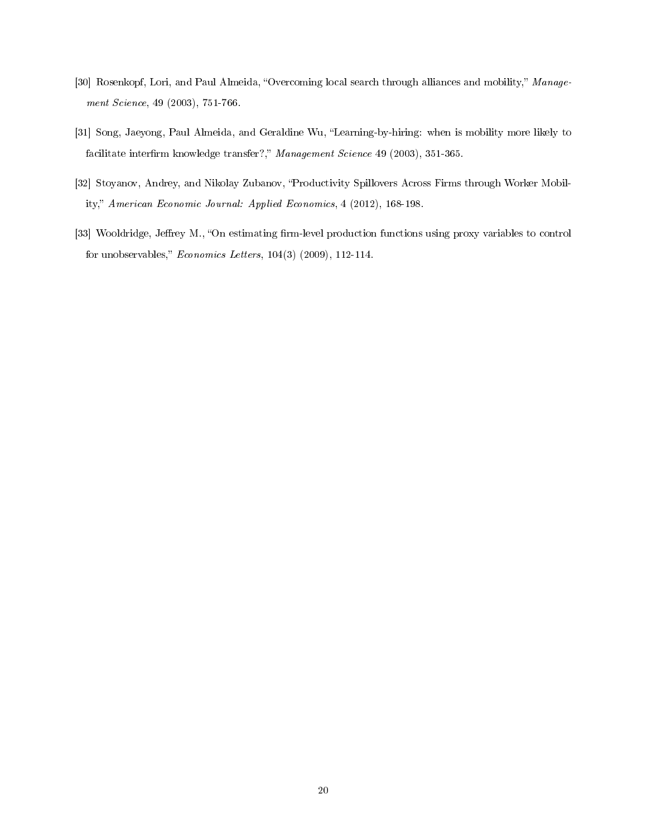- [30] Rosenkopf, Lori, and Paul Almeida, "Overcoming local search through alliances and mobility," Management Science, 49 (2003), 751-766.
- [31] Song, Jaeyong, Paul Almeida, and Geraldine Wu, "Learning-by-hiring: when is mobility more likely to facilitate interfirm knowledge transfer?," Management Science 49 (2003), 351-365.
- [32] Stoyanov, Andrey, and Nikolay Zubanov, Productivity Spillovers Across Firms through Worker Mobility," American Economic Journal: Applied Economics, 4 (2012), 168-198.
- [33] Wooldridge, Jeffrey M., "On estimating firm-level production functions using proxy variables to control for unobservables,"  $Economics$  Letters,  $104(3)$  (2009), 112-114.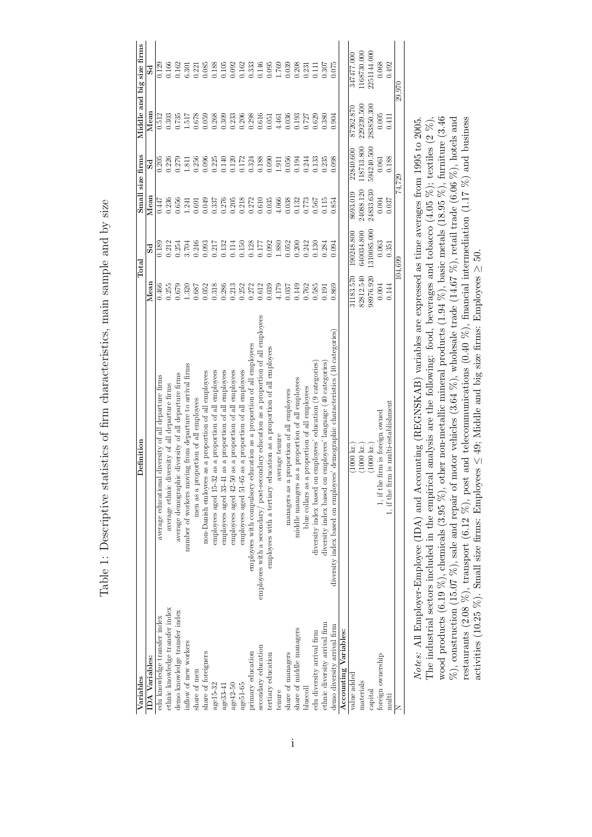| Variables                       | Definition                                                                           | $_{\rm Total}$ |             |           | Small size firms |            | Middle and big size firms |
|---------------------------------|--------------------------------------------------------------------------------------|----------------|-------------|-----------|------------------|------------|---------------------------|
| $\rm{DA\;Varial}$               |                                                                                      | Mean           | 5d          | Mean      | Sd               | Mean       | ದ                         |
| edu knowledge transfer index    | average educational diversity of all departure firms                                 | 0.466          | 0.189       | 0.447     | 0.205            | 0.512      | 0.129                     |
| ethnic knowledge transfer index | average ethnic diversity of all departure firms                                      | 0.255          | 0.212       | 0.236     | 0.226            | 0.303      | 0.166                     |
| demo knowledge transfer index   | average demographic diversity of all departure firms                                 | 0.679          | 0.254       | 0.656     | 0.279            | 0.735      | 0.162                     |
| inflow of new workers           | number of workers moving from departure to arrival firms                             | 1.320          | 3.704       | 1.241     | 1.811            | LEG.1      | 6.301                     |
| share of men                    | proportion of all employees<br>men as a p                                            | 1.687          | 0.246       | 0.691     | 0.256            | 0.678      | 0.221                     |
| share of foreigners             | non-Danish emloyees as a proportion of all employees                                 | 0.052          | 0.093       | 0.049     | 0.096            | 0.059      | 0.085                     |
| age15-32                        | employees aged 15-32 as a proportion of all employees                                | 0.318          | 0.217       | 0.337     | 0.225            | 0.268      | 0.188                     |
| age33-41                        | employees aged 33-41 as a proportion of all employees                                | 0.286          | 0.132       | 0.276     | 0.140            | 0.309      | 0.105                     |
| $age42-50$                      | employees aged 42-50 as a proportion of all employees                                | 0.213          | 0.114       | 0.205     | 0.120            | 0.233      | 0.092                     |
| age51-65                        | employees aged 51-65 as a proportion of all employees                                | 0.252          | 0.150       | 0.218     | 0.172            | 0.206      | 0.162                     |
| primary education               | education as a proportion of all employees<br>employees with compulsory              | 0.272          | 0.128       | 0.272     | 0.324            | 0.298      | 0.333                     |
| secondary education             | employees with a secondary/post-secondary education as a proportion of all employees | 0.612          | 0.177       | 0.610     | 0.188            | 0.616      | 0.146                     |
| tertiary education              | education as a proportion of all employees<br>employees with a tertiary              | 0.039          | 0.092       | 0.035     | 0.090            | 0.051      | 0.095                     |
| tenure                          | average tenure                                                                       | 1179           | 1.880       | 4.066     | 1.911            | 4.461      | 1.769                     |
| share of managers               | a proportion of all employees<br>managers as                                         | 0.037          | 0.052       | 0.38      | 0.056            | 0.036      | 0.039                     |
| share of middle managers        | as a proportion of all employees<br>middle managers                                  | 0.149          | 0.200       | 0.132     | 0.194            | 0.193      | 0.208                     |
| bluecoll                        | a proportion of all employees<br>blue collars as                                     | 0.762          | 0.242       | $-773$    | 0.244            | 0.727      | 0.231                     |
| edu diversity arrival firm      | diversity index based on employees' education (9 categories)                         | 0.585          | 0.130       | 1.567     | 0.133            | 0.629      | 0.111                     |
| ethnic diversity arrival firm   | on employees' language (40 categories)<br>diversity index based                      | 0.191          | 0.284       | 3.115     | 0.235            | 0.380      | 1.307                     |
| demo diversity arrival firm     | diversity index based on employees' demographic characteristics (10 categories)      | 0.869          | 0.094       | 0.854     | 0.098            | 0.904      | 0.075                     |
| Accounting Variables:           |                                                                                      |                |             |           |                  |            |                           |
| value added                     | 1000 kr.                                                                             | 31183.570      | 190248.800  | 8693.019  | 22840.600        | 87262.870  | 347477.000                |
| materials                       | $1000 \text{ km}$ .                                                                  | 82812.540      | 640034.800  | 24088.120 | 118713.800       | 229239.500 | 1168730.000               |
| capital                         | $(1000 \text{ km})$                                                                  | 98976.920      | 1310085.000 | 24833.630 | 594240.500       | 283850.300 | 2251144.000               |
| foreign ownership               | 1, if the firm is foreign owned                                                      | 0.004          | 0.063       | 0.004     | 0.061            | 0.005      | 0.068                     |
| multi                           | 1, if the firm is multi-establishment                                                | 0.144          | 0.351       | 0.037     | 0.188            | 0.411      | 0.492                     |
| Z                               |                                                                                      |                | 104.699     |           | 74,729           |            | 29,970                    |
|                                 |                                                                                      |                |             |           |                  |            |                           |

Table 1: Descriptive statistics of firm characteristics, main sample and by size Table 1: Descriptive statistics of firm characteristics, main sample and by size

wood products (6.19 %), chemicals (3.95 %), other non-metallic mineral products (1.94 %), basic metals (18.95 %), furniture (3.46 %), construction (15.07 %), sale and repair of motor vehicles (3.64 %), wholesale trade (14 restaurants (2.08 %), transport (6.12 %), post and telecommunications (0.40 %), financial intermediation (1.17 %) and business The industrial sectors included in the empirical analysis are the following: food, beverages and tobacco (4.05 %); textiles (2 %), Notes: All Employer-Employee (IDA) and Accounting (REGNSKAB) variables are expressed as time averages from 1995 to 2005. Notes: All Employer-Employee (IDA) and Accounting (REGNSKAB) variables are expressed as time averages from 1995 to 2005. The industrial sectors included in the empirical analysis are the following: food, beverages and tobacco (4.05 %); textiles (2 %), wood products (6.19 %), chemicals (3.95 %), other non-metallic mineral products (1.94 %), basic metals (18.95 %), furniture (3.46 %), construction (15.07 %), sale and repair of motor vehicles (3.64 %), wholesale trade (14.67 %), retail trade (6.06 %), hotels and restaurants (2.08 %), transport (6.12 %), post and telecommunications (0.40 %), financial intermediation (1.17 %) and business  $\frac{50}{2}$  $\leq$  49; Middle and big size firms: Employees ≤activities (10.25 %). Small size firms: Employees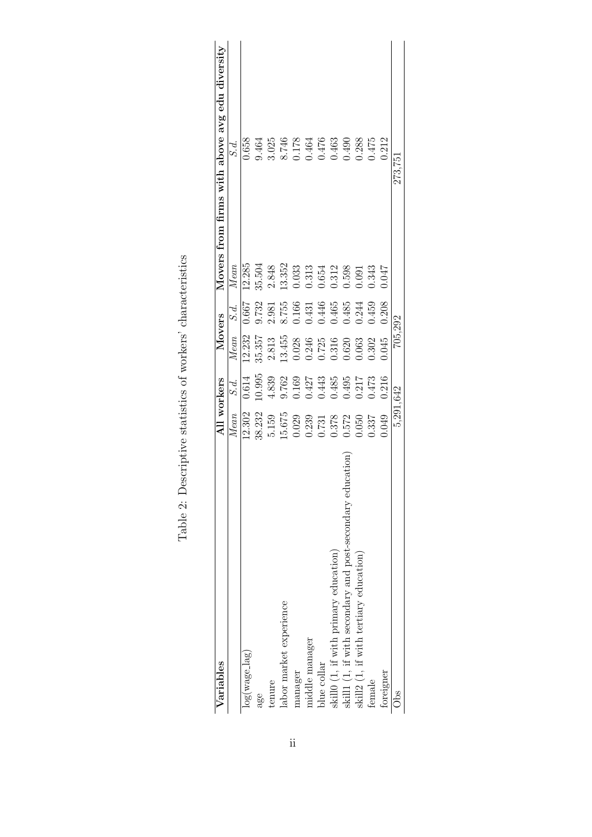| Variables                                                                | All workers                                                                       |                                                    | Movers                                                                       |                                                        | Movers from firms with above avg edu diversity                                                        |  |
|--------------------------------------------------------------------------|-----------------------------------------------------------------------------------|----------------------------------------------------|------------------------------------------------------------------------------|--------------------------------------------------------|-------------------------------------------------------------------------------------------------------|--|
|                                                                          | Mean                                                                              | S.d.                                               | Mean                                                                         | S.d.                                                   | S.d.<br>Mean                                                                                          |  |
| $log(wage_lag)$                                                          | 12.302                                                                            | 0.614                                              | 12.232                                                                       | 0.667                                                  | 0.658<br>12.285                                                                                       |  |
| $\rm{age}$                                                               | 38.232                                                                            | 0.995                                              | 35.357                                                                       | 9.732                                                  | $\,9.464\,$<br>35.504                                                                                 |  |
| tenure                                                                   | 5.159                                                                             | 4.839                                              | 2.813                                                                        | 2.981                                                  | 2.848                                                                                                 |  |
| labor market experience                                                  | 15.675                                                                            | 9.762<br>0.169<br>0.427<br>0.435<br>0.473<br>0.473 | 13.455                                                                       | 8.755                                                  | $\begin{array}{c} 3.025 \\ 8.746 \\ 0.178 \\ 0.464 \\ 0.476 \\ 0.463 \\ 0.0463 \end{array}$<br>13.352 |  |
| manager                                                                  |                                                                                   |                                                    |                                                                              | 0.166                                                  | 0.033                                                                                                 |  |
| middle manager                                                           |                                                                                   |                                                    |                                                                              | $\begin{array}{c} 0.431 \\ 0.446 \\ 0.465 \end{array}$ |                                                                                                       |  |
| blue collar                                                              |                                                                                   |                                                    |                                                                              |                                                        | 0.313<br>0.654                                                                                        |  |
| skill0 (1, if with primary education)                                    |                                                                                   |                                                    | $\begin{array}{c} 0.028 \\ 0.246 \\ 0.725 \\ 0.316 \\ 0.0316 \\ \end{array}$ |                                                        | 0.312<br>0.598                                                                                        |  |
| 1C <sub>8</sub> t<br>skill1 (1, if with secondary and post-secondary edu |                                                                                   |                                                    |                                                                              | 0.485                                                  |                                                                                                       |  |
| skill2 (1, if with tertiary education)                                   | $\begin{array}{c} 0.029 \\ 0.239 \\ 0.731 \\ 0.378 \\ 0.572 \\ 0.650 \end{array}$ |                                                    | 0.63                                                                         | 0.244                                                  | 0.288<br>0.091                                                                                        |  |
| female                                                                   | 1.337                                                                             |                                                    | 1.302                                                                        | 0.459                                                  | 0.475<br>0.343                                                                                        |  |
| foreigner                                                                | 049                                                                               | 0.216                                              | 1.045                                                                        | 0.208                                                  | 0.212<br>1.047                                                                                        |  |
| bs                                                                       | 5,291,642                                                                         |                                                    | 705,292                                                                      |                                                        | 273.751                                                                                               |  |

Table 2: Descriptive statistics of workers' characteristics Table 2: Descriptive statistics of workers' characteristics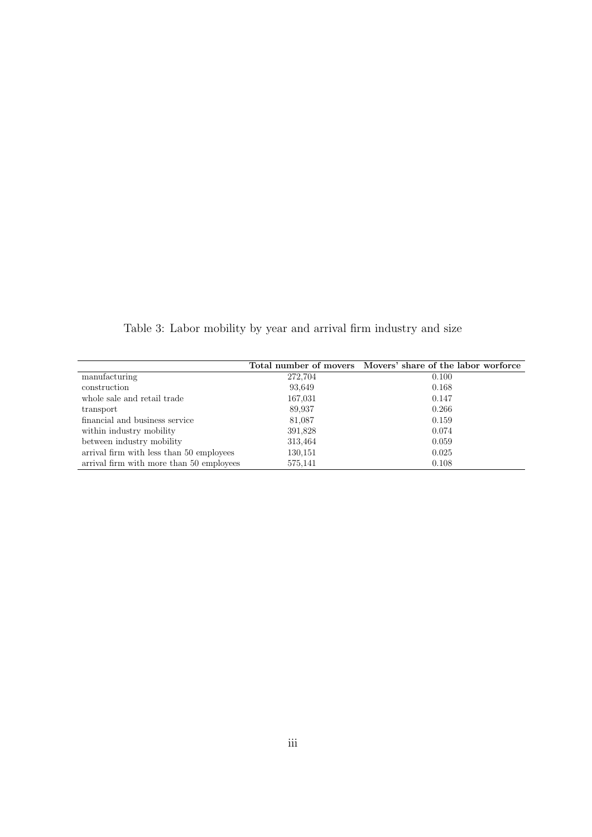Table 3: Labor mobility by year and arrival firm industry and size

|                                          |         | Total number of movers Movers' share of the labor worforce |
|------------------------------------------|---------|------------------------------------------------------------|
| manufacturing                            | 272,704 | 0.100                                                      |
| construction                             | 93,649  | 0.168                                                      |
| whole sale and retail trade              | 167,031 | 0.147                                                      |
| transport                                | 89,937  | 0.266                                                      |
| financial and business service           | 81,087  | 0.159                                                      |
| within industry mobility                 | 391,828 | 0.074                                                      |
| between industry mobility                | 313,464 | 0.059                                                      |
| arrival firm with less than 50 employees | 130,151 | 0.025                                                      |
| arrival firm with more than 50 employees | 575,141 | 0.108                                                      |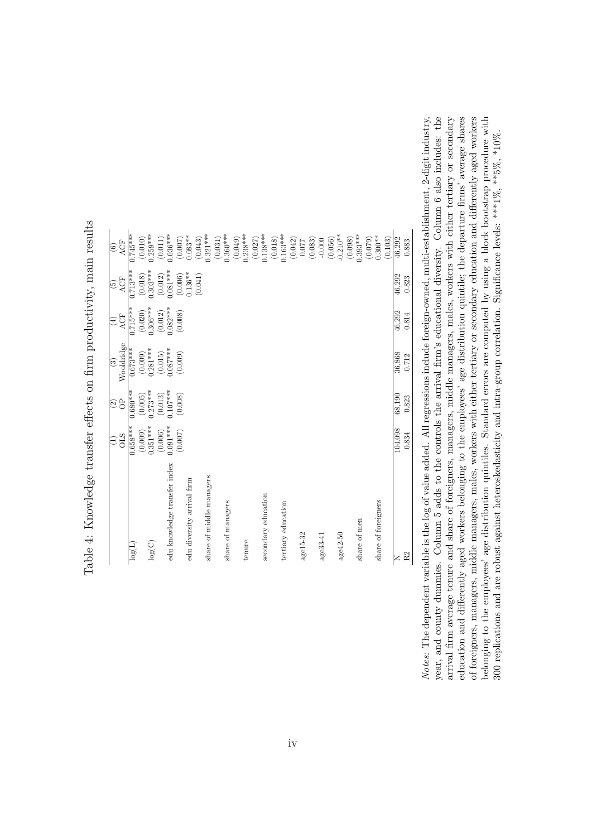|                              |                 | $\widehat{\mathbb{C}}$ | ව          |                        |                               |                               |
|------------------------------|-----------------|------------------------|------------|------------------------|-------------------------------|-------------------------------|
|                              | <b>OLS</b><br>Ξ | $\overline{c}$         | Wooldridge | ACF<br>$\widehat{\Xi}$ | ACF<br>$\widehat{\mathbf{e}}$ | ACF<br>$\widehat{\mathbf{e}}$ |
| $\log(L)$                    | $0.658***$      | $0.680***$             | $0.673***$ | $0.715***$             | $0.713***$                    | $0.745***$                    |
|                              | (0.009)         | (0.005)                | (0.009)    | (0.020)                | (0.018)                       | (0.010)                       |
| $\log(\mathrm{C})$           | $0.351***$      | $0.273***$             | $0.281***$ | $0.306***$             | $0.303***$                    | $0.259***$                    |
|                              | (0.006)         | $(0.013)$<br>0.107***  | (0.015)    | (0.012)                | (0.012)                       | $(0.011)$<br>$0.036***$       |
| edu knowledge transfer index | $0.091***$      |                        | $0.087***$ | $0.082***$             | $0.081***$                    |                               |
|                              | (0.007)         | (0.008)                | (0.009)    | (0.008)                | (0.006)                       | (0.007)                       |
| edu diversity arrival firm   |                 |                        |            |                        | $0.136**$                     | $0.083**$                     |
|                              |                 |                        |            |                        | (0.041)                       | (0.043)                       |
| share of middle managers     |                 |                        |            |                        |                               | $0.321***$                    |
|                              |                 |                        |            |                        |                               | (0.031)                       |
| share of managers            |                 |                        |            |                        |                               | $0.360***$                    |
|                              |                 |                        |            |                        |                               | (0.049)                       |
| tenure                       |                 |                        |            |                        |                               | $0.238***$                    |
|                              |                 |                        |            |                        |                               | (0.027)                       |
| secondary education          |                 |                        |            |                        |                               | $0.138***$                    |
|                              |                 |                        |            |                        |                               | (0.018)                       |
| tertiary education           |                 |                        |            |                        |                               | $0.163***$                    |
|                              |                 |                        |            |                        |                               | (0.042)                       |
| age15-32                     |                 |                        |            |                        |                               | 0.077                         |
|                              |                 |                        |            |                        |                               | (0.083)                       |
| age33-41                     |                 |                        |            |                        |                               | $-0.000$                      |
|                              |                 |                        |            |                        |                               | (0.056)                       |
| $age42-50$                   |                 |                        |            |                        |                               | $-0.210**$                    |
|                              |                 |                        |            |                        |                               | (0.098)                       |
| share of men                 |                 |                        |            |                        |                               | $0.393***$                    |
|                              |                 |                        |            |                        |                               | (0.079)                       |
| share of foreigners          |                 |                        |            |                        |                               | $0.300**$                     |
|                              |                 |                        |            |                        |                               | (0.103)                       |
| z                            | 104,098         | 68,190                 | 36,868     | 46,292                 | 46,292                        | 46,292                        |
| $\rm R2$                     | 0.834           | 0.823                  | 0.712      | 0.814                  | 0.823                         | 0.883                         |

Table 4: Knowledge transfer effects on firm productivity, main results Table 4: Knowledge transfer effects on firm productivity, main results

year, and county dummies. Column 5 adds to the controls the arrival firm's educational diversity. Column 6 also includes: the Notes: The dependent variable is the log of value added. All regressions include foreign-owned, multi-establishment, 2-digit industry, arrival firm average tenure and share of foreigners, managers, middle managers, males, workers with either tertiary or secondary education and differently aged workers belonging to the employees' age distribution quintile; the departure firms' average shares of foreigners, managers, middle managers, males, workers with either tertiary or secondary education and differently aged workers belonging to the employees' age distribution quintiles. Standard errors are computed by using a block bootstrap procedure with Notes: The dependent variable is the log of value added. All regressions include foreign-owned, multi-establishment, 2-digit industry, year, and county dummies. Column 5 adds to the controls the arrival firm's educational diversity. Column 6 also includes: the arrival firm average tenure and share of foreigners, managers, middle managers, males, workers with either tertiary or secondary education and differently aged workers belonging to the employees' age distribution quintile; the departure firms' average shares of foreigners, managers, middle managers, males, workers with either tertiary or secondary education and differently aged workers belonging to the employees' age distribution quintiles. Standard errors are computed by using a block bootstrap procedure with 300 replications and are robust against heteroskedasticity and intra-group correlation. Significance levels: \*\*\*1%, \*\*5%, \*10%. 300 replications and are robust against heteroskedasticity and intra-group correlation. Significance levels: \*\*\*1%, \*\*5%, \*10%.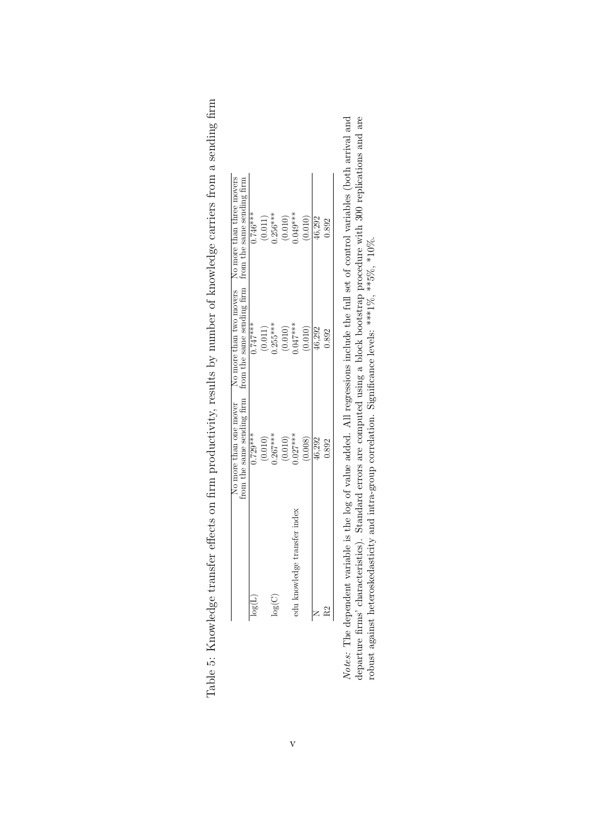|                              | from the same sending firm<br>No more than one mover | from the same sending firm<br>No more than two movers | from the same sending firm<br>No more than three movers |
|------------------------------|------------------------------------------------------|-------------------------------------------------------|---------------------------------------------------------|
| log(L)                       | $0.729***$                                           | $0.747***$                                            | $0.746***$                                              |
|                              | $(0.010)$<br>0.267***                                | $(0.011)$<br>$0.255***$                               | $(0.011)$<br>$0.256***$                                 |
| log(C)                       |                                                      |                                                       |                                                         |
|                              | $(0.010)$<br>$0.027***$                              | $(0.010)$<br>$0.047***$                               | $(0.010)$<br>0.049***                                   |
| edu knowledge transfer index |                                                      |                                                       |                                                         |
|                              | (0.008)                                              | (0.010)                                               | (0.010)                                                 |
|                              | 46,292                                               | 46,292                                                | 46,292                                                  |
|                              | 0.892                                                | 0.892                                                 | 0.892                                                   |

Table 5: Knowledge transfer effects on firm productivity, results by number of knowledge carriers from a sending firm Table 5: Knowledge transfer effects on firm productivity, results by number of knowledge carriers from a sending firm

Notes: The dependent variable is the log of value added. All regressions include the full set of control variables (both arrival and departure firms' characteristics). Standard errors are computed using a block bootstrap procedure with 300 replications and are robust against heteroskedasticity and intra-group correlation. Significance levels: \*\*\*1 $\%$ , Notes: The dependent variable is the log of value added. All regressions include the full set of control variables (both arrival and departure firms' characteristics). Standard errors are computed using a block bootstrap procedure with 300 replications and are robust against heteroskedasticity and intra-group correlation. Significance levels: \*\*\*1%, \*\*5%, \*10%.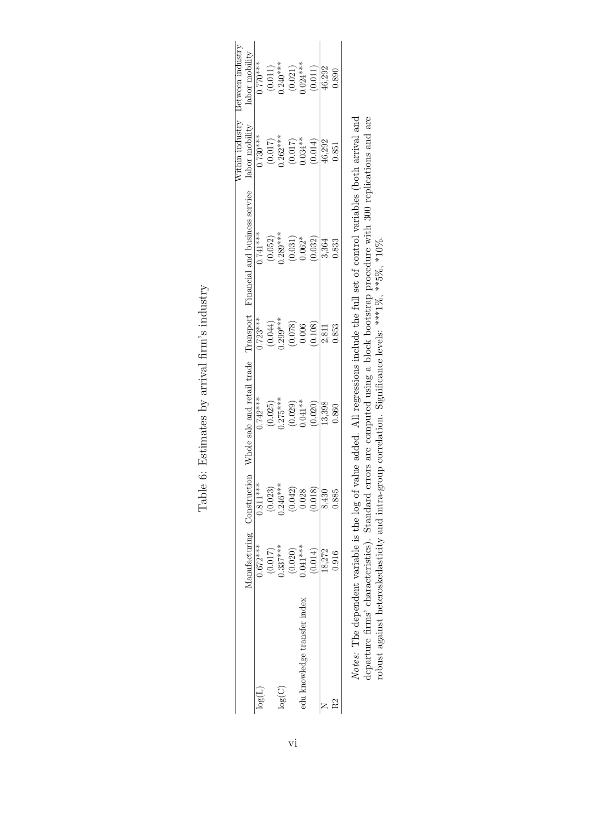|                              |            |            |                                                                                                       |                                                 |                                                                                                                                                                                                                                                                         |                        | Nithin industry Between industry |
|------------------------------|------------|------------|-------------------------------------------------------------------------------------------------------|-------------------------------------------------|-------------------------------------------------------------------------------------------------------------------------------------------------------------------------------------------------------------------------------------------------------------------------|------------------------|----------------------------------|
|                              |            |            |                                                                                                       |                                                 | Manufacturing Construction Whole sale and retail trade Transport Financial and business service                                                                                                                                                                         | labor mobility         | labor mobility                   |
| $\frac{1}{2}$                | $0.672***$ | $0.811***$ | $0.742***$                                                                                            | $0.723***$                                      | $0.741***$                                                                                                                                                                                                                                                              | $0.730***$             | $0.770***$                       |
|                              | (0.017)    | (0.023)    | (0.025)                                                                                               | (0.044)                                         | (0.052)                                                                                                                                                                                                                                                                 |                        | (0.011)                          |
| log(C)                       | $0.337***$ | $0.246***$ | $0.275***$                                                                                            | $0.299***$                                      | $0.289***$                                                                                                                                                                                                                                                              | $(0.017)$<br>0.262***  | $0.240***$                       |
|                              | (0.020)    | (0.042)    | $(0.029)$<br>$0.041**$                                                                                | $\begin{array}{c} (0.078) \\ 0.006 \end{array}$ | $(0.031)$<br>$0.062*$                                                                                                                                                                                                                                                   | $(0.017)$<br>$(710.0)$ | (0.021)                          |
| edu knowledge transfer index | $0.041***$ | 0.028      |                                                                                                       |                                                 |                                                                                                                                                                                                                                                                         |                        | $.024***$                        |
|                              | (0.014)    | 0.018      | (0.020)                                                                                               | (0.108)                                         | (0.032)                                                                                                                                                                                                                                                                 | (0.014)                | (0.011)                          |
|                              | 18,272     | 8,430      | 13,398                                                                                                | 2,811                                           | 3,364                                                                                                                                                                                                                                                                   | 46,292                 | 46,292                           |
| R <sub>2</sub>               | 0.916      | 0.885      | 0.860                                                                                                 | 0.853                                           | 0.833                                                                                                                                                                                                                                                                   | 0.851                  | 0.890                            |
|                              |            |            | robust against heteroskedasticity and intra-group correlation. Significance levels: ***1%, **5%, *10% |                                                 | departure firms' characteristics). Standard errors are computed using a block bootstrap procedure with 300 replications and are<br>Notes: The dependent variable is the log of value added. All regressions include the full set of control variables (both arrival and |                        |                                  |

Table 6: Estimates by arrival firm's industry

Table 6: Estimates by arrival firm's industry

vi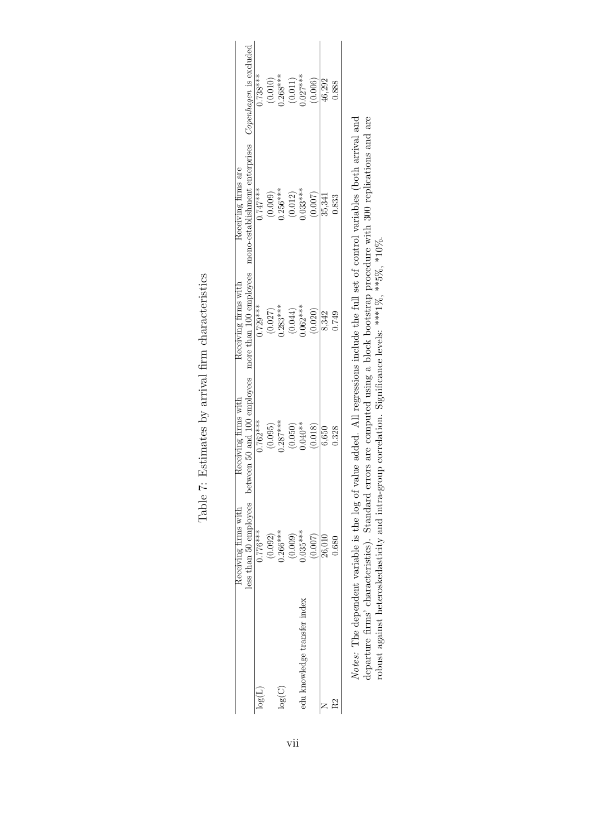|                              | Receiving firms with    | Receiving firms with         | Receiving firms with    | Receiving firms are            |                                                                           |
|------------------------------|-------------------------|------------------------------|-------------------------|--------------------------------|---------------------------------------------------------------------------|
|                              | less than 50 employees  | between 50 and 100 employees | more than 100 employees | mono-establishment enterprises | Copenhagen is excluded                                                    |
| $\log(L)$                    | $0.776***$              | $0.762***$                   | $0.729***$              | $0.747***$                     | $0.738***$                                                                |
|                              | $(0.092)$<br>0.266***   | $(0.095)$<br>$0.287***$      | $(0.027)$<br>0.283***   | $(0.009)$<br>$0.256***$        |                                                                           |
| $\log(\text{C})$             |                         |                              |                         |                                |                                                                           |
|                              | $(0.009)$<br>$0.035***$ | $(0.050)$<br>$0.040**$       | $(0.044)$<br>$0.062***$ | $(0.012)$<br>$0.033***$        | $\begin{array}{c} (0.010) \\ 0.268*** \\ (0.011) \\ 0.027*** \end{array}$ |
| edu knowledge transfer index |                         |                              |                         |                                |                                                                           |
|                              | (0.007)                 | (0.018)                      | (0.020)                 | (0.007)                        | (0.006)                                                                   |
|                              | 26,010                  | 6,650                        | 8,342                   | 35,341                         | 46,292                                                                    |
| R2                           | 0.680                   | 0.328                        | 0.749                   | 0.833                          | 0.888                                                                     |
|                              |                         |                              |                         |                                |                                                                           |

| olo omotowner oo                         |
|------------------------------------------|
| -<br>-<br>-<br>$\frac{1}{1}$<br>C        |
| $\frac{1}{2}$<br>$-777 - 777$<br>ļ       |
| .<br>}                                   |
| <br> <br> <br> <br> <br> <br>;<br>;<br>I |
| J                                        |
| $\frac{1}{2}$<br>l                       |

*Notes*: The dependent variable is the log of value added. All regressions include the full set of control variables (both arrival and departure firms' characteristics). Standard errors are computed using a block bootstra Notes: The dependent variable is the log of value added. All regressions include the full set of control variables (both arrival and departure firms' characteristics). Standard errors are computed using a block bootstrap procedure with 300 replications and are robust against heteroskedasticity and intra-group correlation. Significance levels: \*\*\*1%, \*\*5%, \*10%.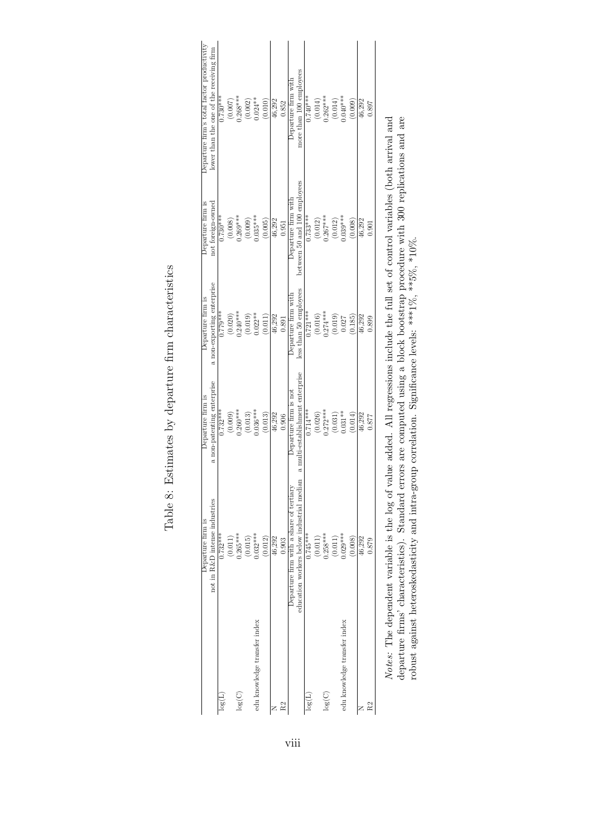|                              | Departure firm is                                                                                                                    | Departure firm is                | Departure firm is          | Departure firm is            | Departure firm's total factor productivity |
|------------------------------|--------------------------------------------------------------------------------------------------------------------------------------|----------------------------------|----------------------------|------------------------------|--------------------------------------------|
|                              | not in R&D intense industries                                                                                                        | a non-patenting enterprise       | a non-exporting enterprise | not foreign-owned            | lower than the one of the receiving firm   |
| log(L)                       | $0.732***$                                                                                                                           | $0.732***$                       | $0.779***$                 | $0.730***$                   | $0.730***$                                 |
|                              | (0.011)                                                                                                                              |                                  |                            |                              |                                            |
| log(C)                       | $0.265***$                                                                                                                           | $(0.009)$<br>0.260***            | $(0.020)$<br>$0.240***$    | $(0.008)$<br>$0.269***$      | $(0.007)$<br>0.268 ***                     |
|                              | (0.015)                                                                                                                              | (0.013)                          | (0.019)                    | (0.009)                      | (0.002)                                    |
| edu knowledge transfer index | $0.032***$                                                                                                                           | $0.036***$                       | $0.022**$                  | $0.035***$                   | $0.024**$                                  |
|                              | (0.012)                                                                                                                              | (0.013)                          | (0.011)                    | (0.005)                      | (0.010)                                    |
|                              | 46,292                                                                                                                               | 46,292                           | 46,292                     | 46,292                       | 46,292                                     |
| R2                           | 0.903                                                                                                                                | 0.906                            | 0.891                      | 0.951                        | 0.852                                      |
|                              | beparture firm with a share of tertiary                                                                                              | Departure firm is not            | Departure firm with        | Jeparture firm with          | Departure firm with                        |
|                              | education workers below industrial median                                                                                            | a multi-establishment enterprise | less than 50 employees     | between 50 and 100 employees | more than 100 employees                    |
| $\log(L)$                    | $0.745***$                                                                                                                           | $0.714***$                       | $0.721**$                  | $0.733***$                   | $0.740***$                                 |
|                              | $(0.011)$<br>$0.258***$                                                                                                              | $(0.026)$<br>$0.272***$          | $(0.016)$<br>$0.274***$    |                              | $(0.014)$<br>$0.262***$                    |
| log(C)                       |                                                                                                                                      |                                  |                            | $(0.012)$<br>0.267***        |                                            |
|                              | $\begin{array}{c} (0.011) \\ 0.029*** \end{array}$                                                                                   | $(0.031)$<br>$0.031**$           | $(0.019)$<br>$0.027$       | $(0.012)$<br>0.039***        | $(0.014)$<br>$0.040***$                    |
| edu knowledge transfer index |                                                                                                                                      |                                  |                            |                              |                                            |
|                              | (0.008)                                                                                                                              | (0.014)                          | (0.185)                    | (0.008)                      | (0.009)                                    |
|                              | 46,292                                                                                                                               | 46,292                           | 46,292                     | 46,292                       | 46,292                                     |
| R2                           | 0.879                                                                                                                                | 0.877                            | 0.899                      | 0.901                        | 0.897                                      |
|                              | Notes: The dependent variable is the log of value added. All regressions include the full set of control variables (both arrival and |                                  |                            |                              |                                            |
|                              | departure firms' characteristics). Standard errors are computed using a block bootstrap procedure with 300 replications and are      |                                  |                            |                              |                                            |
|                              | robust against heteroskedasticity and intra-group correlation. Significance levels: ***1%, **5%, *10%                                |                                  |                            |                              |                                            |

Table 8: Estimates by departure firm characteristics Table 8: Estimates by departure firm characteristics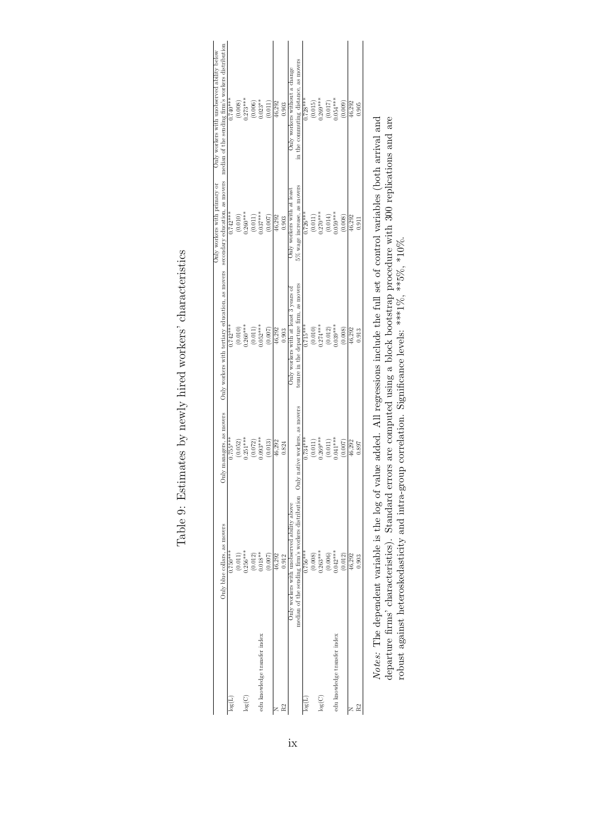|                              |                                                         |                                |                                                                                         | Only workers with primary or                                               | Only workers with unobserved ability below                                               |
|------------------------------|---------------------------------------------------------|--------------------------------|-----------------------------------------------------------------------------------------|----------------------------------------------------------------------------|------------------------------------------------------------------------------------------|
|                              | Only blue collars, as movers                            | Only managers, as movers       | Only workers with tertiary education, as movers                                         | secondary education, as movers                                             | median of the sending firm's workers distribution                                        |
| log(L)                       | $0.750***$                                              | $0.755***$                     | $0.742***$                                                                              | $0.742***$                                                                 | $0.740***$                                                                               |
|                              |                                                         |                                |                                                                                         |                                                                            |                                                                                          |
| $\log(\mathrm{C})$           | $(0.011)$<br>0.256***                                   | $(0.052)$<br>$0.251***$        | $(0.010)$<br>$0.260***$                                                                 | $(0.010)$<br>$0.260***$                                                    |                                                                                          |
|                              | $\begin{array}{c} (0.012) \\ 0.018 {^{**}} \end{array}$ | $(0.072)$<br>0.093***          | $(0.011)$<br>$0.052***$                                                                 | $(0.011)$<br>$0.037***$                                                    | $\begin{array}{c} (0.008) \\ 0.273^{**} \\ (0.006) \\ (0.006) \\ 0.023^{**} \end{array}$ |
| edu knowledge transfer index |                                                         |                                |                                                                                         |                                                                            |                                                                                          |
|                              | (0.007)                                                 | (0.013)                        | (0.007)                                                                                 | (0.007)                                                                    | (0.011)                                                                                  |
| z                            | 46,292                                                  | 46,292                         | 46,292                                                                                  | 46,292                                                                     | 46,292                                                                                   |
| R <sub>2</sub>               | 0.912                                                   | 0.824                          | 0.903                                                                                   | 0.903                                                                      | 0.903                                                                                    |
|                              | Only workers with unobserved ability above              |                                | Only workers with at least 3 years of                                                   | Only workers with at least                                                 | Only workers without a change                                                            |
|                              | median of the sending firm's workers distribution       | Inly native workers, as movers | tenure in the departure firm, as movers                                                 | 5% wage increase, as movers                                                | in the commuting distance, as movers                                                     |
| $\log(L)$                    | $0.756***$                                              | $0.734***$                     | $0.715***$                                                                              | $0.726***$                                                                 | $0.728***$                                                                               |
|                              |                                                         |                                |                                                                                         |                                                                            |                                                                                          |
| $\log(\mathrm{C})$           | $(0.008)$<br>0.263***                                   | $(0.011)$<br>0.269***          | $(0.010)$<br>$0.274***$                                                                 |                                                                            | $(0.015)$<br>0.269***                                                                    |
|                              | $(0.006)$<br>$0.042***$                                 | $(0.011)$<br>$0.041***$        | $^{(0.012)}_{0.039***}$                                                                 | $\begin{array}{c} (0.011) \\ 0.270*** \\ (0.014) \\ (0.059*** \end{array}$ | $(0.017)$<br>0.054***                                                                    |
| edu knowledge transfer index |                                                         |                                |                                                                                         |                                                                            |                                                                                          |
|                              | (0.012)                                                 | (0.007)                        | (0.008)                                                                                 | (0.008)                                                                    | (0.009)                                                                                  |
| z                            | 46,292                                                  | 46,292                         | 46,292                                                                                  | 46,292                                                                     | 46,292                                                                                   |
| R <sub>2</sub>               | 0.903                                                   | 0.897                          | 0.913                                                                                   | $\overline{0.911}$                                                         | 0.905                                                                                    |
|                              | $Note: The damped part variable is the log of$          |                                | value added All regressions include the full set of control variables (both arrival and |                                                                            |                                                                                          |

| ۱,<br>ì<br>i                                                                            |
|-----------------------------------------------------------------------------------------|
| ļ<br>ヘー・マン・ページ<br>י<br>)                                                                |
| くくい<br>)<br>California                                                                  |
| ĺ<br>֧֦֦֦֦֦֦֦֧֦֦֧֦֧֦֧֦֧֦֧֦֧֦֧֦֧֦֧֦֧֦֧֧֦֧֛֛֛֛֛֛֛֛֦֛֛֛֛֛֛֛֛֛֚֚֚֚֚֚֚֚֝֝֘֝֝֝֬֜֓֜֜֓֜֜֜֜֜֜֜֜֜ |
| こくすく チント<br>į<br>j<br>ĺ                                                                 |
| I<br>l<br>I<br>ŗ                                                                        |

*Notes:* The dependent variable is the log of value added. All regressions include the full set of control variables (both arrival and departure firms' characteristics). Standard errors are computed using a block bootstra Notes: The dependent variable is the log of value added. All regressions include the full set of control variables (both arrival and departure firms' characteristics). Standard errors are computed using a block bootstrap procedure with 300 replications and are robust against heteroskedasticity and intra-group correlation. Significance levels: \*\*\*1%, \*\*5%, \*10%.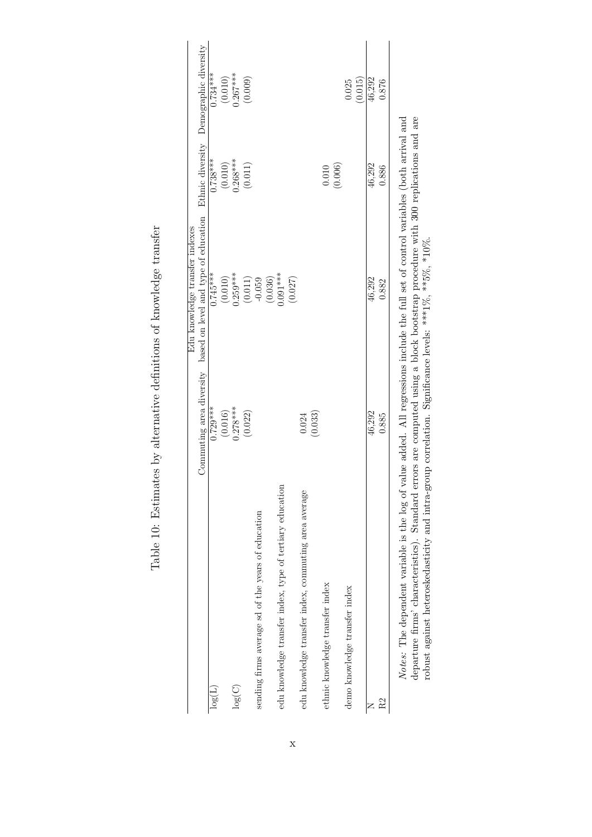|                                                                                                                                                                                                                                                                                                 |            | Commuting area diversity based on level and type of education<br>Edu knowledge transfer indexes |            | Ethnic diversity Demographic diversity |
|-------------------------------------------------------------------------------------------------------------------------------------------------------------------------------------------------------------------------------------------------------------------------------------------------|------------|-------------------------------------------------------------------------------------------------|------------|----------------------------------------|
| $\log(L)$                                                                                                                                                                                                                                                                                       | $0.729***$ | $0.745***$                                                                                      | $0.738***$ | $0.734***$                             |
|                                                                                                                                                                                                                                                                                                 | (0.016)    | (0.010)                                                                                         | (0.010)    | (0.010)                                |
| log(C)                                                                                                                                                                                                                                                                                          | $0.278***$ | $0.259***$                                                                                      | $0.268***$ | $0.267***$                             |
|                                                                                                                                                                                                                                                                                                 | (0.022)    | (0.011)                                                                                         | (0.011)    | (0.009)                                |
| sending firms average sd of the years of education                                                                                                                                                                                                                                              |            | $-0.059$                                                                                        |            |                                        |
|                                                                                                                                                                                                                                                                                                 |            | (0.036)                                                                                         |            |                                        |
| edu knowledge transfer index, type of tertiary education                                                                                                                                                                                                                                        |            | $0.091***$                                                                                      |            |                                        |
|                                                                                                                                                                                                                                                                                                 |            | (0.027)                                                                                         |            |                                        |
| edu knowledge transfer index, commuting area average                                                                                                                                                                                                                                            | 0.024      |                                                                                                 |            |                                        |
|                                                                                                                                                                                                                                                                                                 | (0.033)    |                                                                                                 |            |                                        |
| ethnic knowledge transfer index                                                                                                                                                                                                                                                                 |            |                                                                                                 | 0.010      |                                        |
|                                                                                                                                                                                                                                                                                                 |            |                                                                                                 | (0.006)    |                                        |
| demo knowledge transfer index                                                                                                                                                                                                                                                                   |            |                                                                                                 |            | 0.025                                  |
|                                                                                                                                                                                                                                                                                                 |            |                                                                                                 |            | (0.015)                                |
|                                                                                                                                                                                                                                                                                                 | 46,292     | 46,292                                                                                          | 46,292     | 46,292                                 |
| R <sub>2</sub>                                                                                                                                                                                                                                                                                  | 0.885      | 0.882                                                                                           | 0.886      | 0.876                                  |
| Notes: The dependent variable is the log of value added. All regressions include the full set of control variables (both arrival and<br>robust against heteroskedasticity and intra-group correlation. Significance levels: ***1%, **5%, *10%.<br>departure firms' characteristics). Standard o |            | errors are computed using a block bootstrap procedure with 300 replications and are             |            |                                        |

Table 10: Estimates by alternative definitions of knowledge transfer Table 10: Estimates by alternative definitions of knowledge transfer

x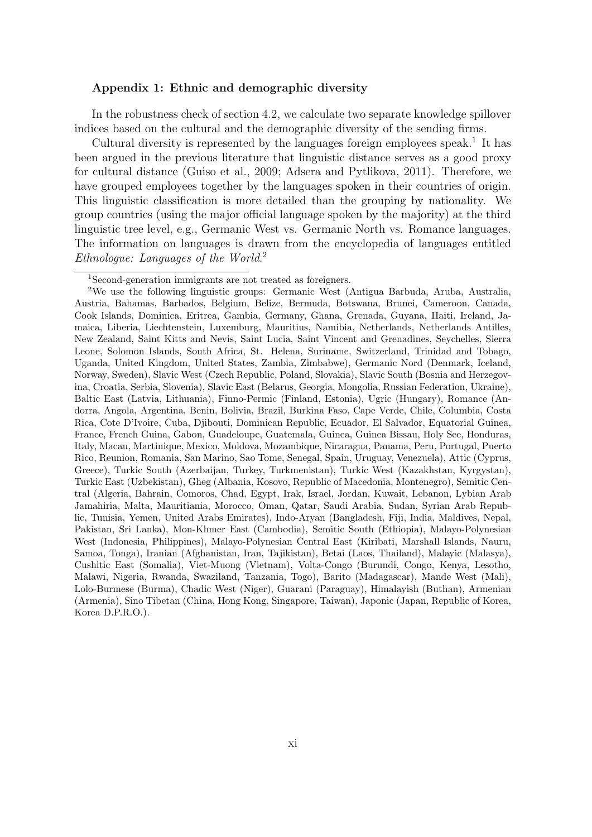#### Appendix 1: Ethnic and demographic diversity

In the robustness check of section 4.2, we calculate two separate knowledge spillover indices based on the cultural and the demographic diversity of the sending firms.

Cultural diversity is represented by the languages foreign employees speak.<sup>1</sup> It has been argued in the previous literature that linguistic distance serves as a good proxy for cultural distance (Guiso et al., 2009; Adsera and Pytlikova, 2011). Therefore, we have grouped employees together by the languages spoken in their countries of origin. This linguistic classification is more detailed than the grouping by nationality. We group countries (using the major official language spoken by the majority) at the third linguistic tree level, e.g., Germanic West vs. Germanic North vs. Romance languages. The information on languages is drawn from the encyclopedia of languages entitled Ethnologue: Languages of the World. 2

<sup>1</sup>Second-generation immigrants are not treated as foreigners.

<sup>2</sup>We use the following linguistic groups: Germanic West (Antigua Barbuda, Aruba, Australia, Austria, Bahamas, Barbados, Belgium, Belize, Bermuda, Botswana, Brunei, Cameroon, Canada, Cook Islands, Dominica, Eritrea, Gambia, Germany, Ghana, Grenada, Guyana, Haiti, Ireland, Jamaica, Liberia, Liechtenstein, Luxemburg, Mauritius, Namibia, Netherlands, Netherlands Antilles, New Zealand, Saint Kitts and Nevis, Saint Lucia, Saint Vincent and Grenadines, Seychelles, Sierra Leone, Solomon Islands, South Africa, St. Helena, Suriname, Switzerland, Trinidad and Tobago, Uganda, United Kingdom, United States, Zambia, Zimbabwe), Germanic Nord (Denmark, Iceland, Norway, Sweden), Slavic West (Czech Republic, Poland, Slovakia), Slavic South (Bosnia and Herzegovina, Croatia, Serbia, Slovenia), Slavic East (Belarus, Georgia, Mongolia, Russian Federation, Ukraine), Baltic East (Latvia, Lithuania), Finno-Permic (Finland, Estonia), Ugric (Hungary), Romance (Andorra, Angola, Argentina, Benin, Bolivia, Brazil, Burkina Faso, Cape Verde, Chile, Columbia, Costa Rica, Cote D'Ivoire, Cuba, Djibouti, Dominican Republic, Ecuador, El Salvador, Equatorial Guinea, France, French Guina, Gabon, Guadeloupe, Guatemala, Guinea, Guinea Bissau, Holy See, Honduras, Italy, Macau, Martinique, Mexico, Moldova, Mozambique, Nicaragua, Panama, Peru, Portugal, Puerto Rico, Reunion, Romania, San Marino, Sao Tome, Senegal, Spain, Uruguay, Venezuela), Attic (Cyprus, Greece), Turkic South (Azerbaijan, Turkey, Turkmenistan), Turkic West (Kazakhstan, Kyrgystan), Turkic East (Uzbekistan), Gheg (Albania, Kosovo, Republic of Macedonia, Montenegro), Semitic Central (Algeria, Bahrain, Comoros, Chad, Egypt, Irak, Israel, Jordan, Kuwait, Lebanon, Lybian Arab Jamahiria, Malta, Mauritiania, Morocco, Oman, Qatar, Saudi Arabia, Sudan, Syrian Arab Republic, Tunisia, Yemen, United Arabs Emirates), Indo-Aryan (Bangladesh, Fiji, India, Maldives, Nepal, Pakistan, Sri Lanka), Mon-Khmer East (Cambodia), Semitic South (Ethiopia), Malayo-Polynesian West (Indonesia, Philippines), Malayo-Polynesian Central East (Kiribati, Marshall Islands, Nauru, Samoa, Tonga), Iranian (Afghanistan, Iran, Tajikistan), Betai (Laos, Thailand), Malayic (Malasya), Cushitic East (Somalia), Viet-Muong (Vietnam), Volta-Congo (Burundi, Congo, Kenya, Lesotho, Malawi, Nigeria, Rwanda, Swaziland, Tanzania, Togo), Barito (Madagascar), Mande West (Mali), Lolo-Burmese (Burma), Chadic West (Niger), Guarani (Paraguay), Himalayish (Buthan), Armenian (Armenia), Sino Tibetan (China, Hong Kong, Singapore, Taiwan), Japonic (Japan, Republic of Korea, Korea D.P.R.O.).